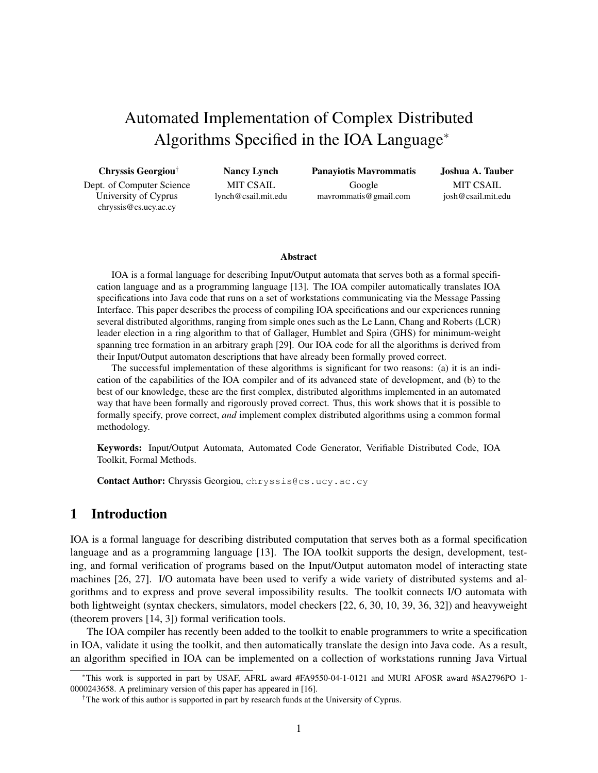# Automated Implementation of Complex Distributed Algorithms Specified in the IOA Language<sup>∗</sup>

Chryssis Georgiou† Dept. of Computer Science University of Cyprus chryssis@cs.ucy.ac.cy

Nancy Lynch MIT CSAIL lynch@csail.mit.edu Panayiotis Mavrommatis Google mavrommatis@gmail.com

Joshua A. Tauber MIT CSAIL josh@csail.mit.edu

#### Abstract

IOA is a formal language for describing Input/Output automata that serves both as a formal specification language and as a programming language [13]. The IOA compiler automatically translates IOA specifications into Java code that runs on a set of workstations communicating via the Message Passing Interface. This paper describes the process of compiling IOA specifications and our experiences running several distributed algorithms, ranging from simple ones such as the Le Lann, Chang and Roberts (LCR) leader election in a ring algorithm to that of Gallager, Humblet and Spira (GHS) for minimum-weight spanning tree formation in an arbitrary graph [29]. Our IOA code for all the algorithms is derived from their Input/Output automaton descriptions that have already been formally proved correct.

The successful implementation of these algorithms is significant for two reasons: (a) it is an indication of the capabilities of the IOA compiler and of its advanced state of development, and (b) to the best of our knowledge, these are the first complex, distributed algorithms implemented in an automated way that have been formally and rigorously proved correct. Thus, this work shows that it is possible to formally specify, prove correct, *and* implement complex distributed algorithms using a common formal methodology.

Keywords: Input/Output Automata, Automated Code Generator, Verifiable Distributed Code, IOA Toolkit, Formal Methods.

Contact Author: Chryssis Georgiou, chryssis@cs.ucy.ac.cy

## 1 Introduction

IOA is a formal language for describing distributed computation that serves both as a formal specification language and as a programming language [13]. The IOA toolkit supports the design, development, testing, and formal verification of programs based on the Input/Output automaton model of interacting state machines [26, 27]. I/O automata have been used to verify a wide variety of distributed systems and algorithms and to express and prove several impossibility results. The toolkit connects I/O automata with both lightweight (syntax checkers, simulators, model checkers [22, 6, 30, 10, 39, 36, 32]) and heavyweight (theorem provers [14, 3]) formal verification tools.

The IOA compiler has recently been added to the toolkit to enable programmers to write a specification in IOA, validate it using the toolkit, and then automatically translate the design into Java code. As a result, an algorithm specified in IOA can be implemented on a collection of workstations running Java Virtual

<sup>∗</sup>This work is supported in part by USAF, AFRL award #FA9550-04-1-0121 and MURI AFOSR award #SA2796PO 1- 0000243658. A preliminary version of this paper has appeared in [16].

<sup>&</sup>lt;sup>†</sup>The work of this author is supported in part by research funds at the University of Cyprus.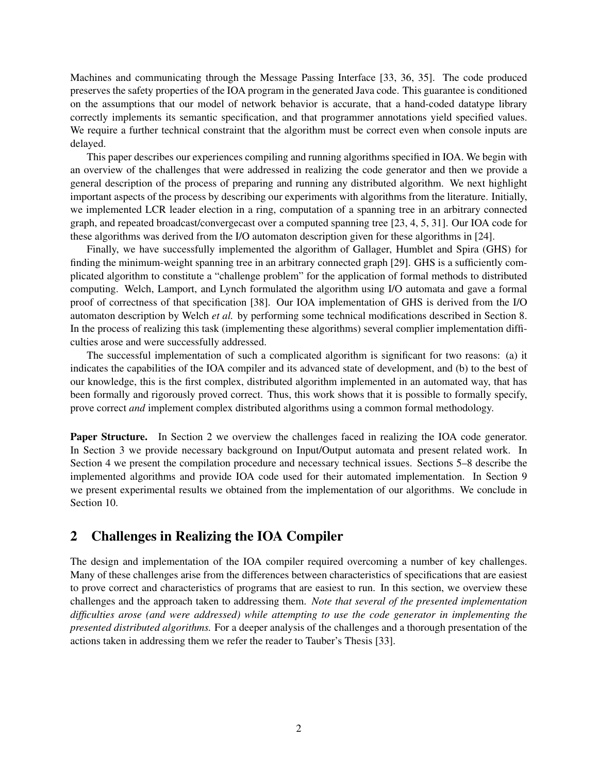Machines and communicating through the Message Passing Interface [33, 36, 35]. The code produced preserves the safety properties of the IOA program in the generated Java code. This guarantee is conditioned on the assumptions that our model of network behavior is accurate, that a hand-coded datatype library correctly implements its semantic specification, and that programmer annotations yield specified values. We require a further technical constraint that the algorithm must be correct even when console inputs are delayed.

This paper describes our experiences compiling and running algorithms specified in IOA. We begin with an overview of the challenges that were addressed in realizing the code generator and then we provide a general description of the process of preparing and running any distributed algorithm. We next highlight important aspects of the process by describing our experiments with algorithms from the literature. Initially, we implemented LCR leader election in a ring, computation of a spanning tree in an arbitrary connected graph, and repeated broadcast/convergecast over a computed spanning tree [23, 4, 5, 31]. Our IOA code for these algorithms was derived from the I/O automaton description given for these algorithms in [24].

Finally, we have successfully implemented the algorithm of Gallager, Humblet and Spira (GHS) for finding the minimum-weight spanning tree in an arbitrary connected graph [29]. GHS is a sufficiently complicated algorithm to constitute a "challenge problem" for the application of formal methods to distributed computing. Welch, Lamport, and Lynch formulated the algorithm using I/O automata and gave a formal proof of correctness of that specification [38]. Our IOA implementation of GHS is derived from the I/O automaton description by Welch *et al.* by performing some technical modifications described in Section 8. In the process of realizing this task (implementing these algorithms) several complier implementation difficulties arose and were successfully addressed.

The successful implementation of such a complicated algorithm is significant for two reasons: (a) it indicates the capabilities of the IOA compiler and its advanced state of development, and (b) to the best of our knowledge, this is the first complex, distributed algorithm implemented in an automated way, that has been formally and rigorously proved correct. Thus, this work shows that it is possible to formally specify, prove correct *and* implement complex distributed algorithms using a common formal methodology.

Paper Structure. In Section 2 we overview the challenges faced in realizing the IOA code generator. In Section 3 we provide necessary background on Input/Output automata and present related work. In Section 4 we present the compilation procedure and necessary technical issues. Sections 5–8 describe the implemented algorithms and provide IOA code used for their automated implementation. In Section 9 we present experimental results we obtained from the implementation of our algorithms. We conclude in Section 10.

# 2 Challenges in Realizing the IOA Compiler

The design and implementation of the IOA compiler required overcoming a number of key challenges. Many of these challenges arise from the differences between characteristics of specifications that are easiest to prove correct and characteristics of programs that are easiest to run. In this section, we overview these challenges and the approach taken to addressing them. *Note that several of the presented implementation difficulties arose (and were addressed) while attempting to use the code generator in implementing the presented distributed algorithms.* For a deeper analysis of the challenges and a thorough presentation of the actions taken in addressing them we refer the reader to Tauber's Thesis [33].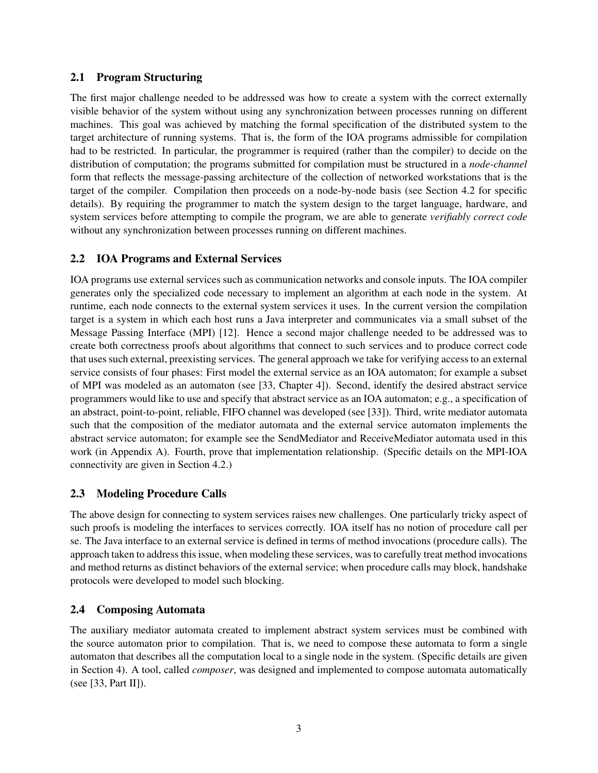# 2.1 Program Structuring

The first major challenge needed to be addressed was how to create a system with the correct externally visible behavior of the system without using any synchronization between processes running on different machines. This goal was achieved by matching the formal specification of the distributed system to the target architecture of running systems. That is, the form of the IOA programs admissible for compilation had to be restricted. In particular, the programmer is required (rather than the compiler) to decide on the distribution of computation; the programs submitted for compilation must be structured in a *node-channel* form that reflects the message-passing architecture of the collection of networked workstations that is the target of the compiler. Compilation then proceeds on a node-by-node basis (see Section 4.2 for specific details). By requiring the programmer to match the system design to the target language, hardware, and system services before attempting to compile the program, we are able to generate *verifiably correct code* without any synchronization between processes running on different machines.

# 2.2 IOA Programs and External Services

IOA programs use external services such as communication networks and console inputs. The IOA compiler generates only the specialized code necessary to implement an algorithm at each node in the system. At runtime, each node connects to the external system services it uses. In the current version the compilation target is a system in which each host runs a Java interpreter and communicates via a small subset of the Message Passing Interface (MPI) [12]. Hence a second major challenge needed to be addressed was to create both correctness proofs about algorithms that connect to such services and to produce correct code that uses such external, preexisting services. The general approach we take for verifying access to an external service consists of four phases: First model the external service as an IOA automaton; for example a subset of MPI was modeled as an automaton (see [33, Chapter 4]). Second, identify the desired abstract service programmers would like to use and specify that abstract service as an IOA automaton; e.g., a specification of an abstract, point-to-point, reliable, FIFO channel was developed (see [33]). Third, write mediator automata such that the composition of the mediator automata and the external service automaton implements the abstract service automaton; for example see the SendMediator and ReceiveMediator automata used in this work (in Appendix A). Fourth, prove that implementation relationship. (Specific details on the MPI-IOA connectivity are given in Section 4.2.)

# 2.3 Modeling Procedure Calls

The above design for connecting to system services raises new challenges. One particularly tricky aspect of such proofs is modeling the interfaces to services correctly. IOA itself has no notion of procedure call per se. The Java interface to an external service is defined in terms of method invocations (procedure calls). The approach taken to address this issue, when modeling these services, was to carefully treat method invocations and method returns as distinct behaviors of the external service; when procedure calls may block, handshake protocols were developed to model such blocking.

# 2.4 Composing Automata

The auxiliary mediator automata created to implement abstract system services must be combined with the source automaton prior to compilation. That is, we need to compose these automata to form a single automaton that describes all the computation local to a single node in the system. (Specific details are given in Section 4). A tool, called *composer*, was designed and implemented to compose automata automatically (see [33, Part II]).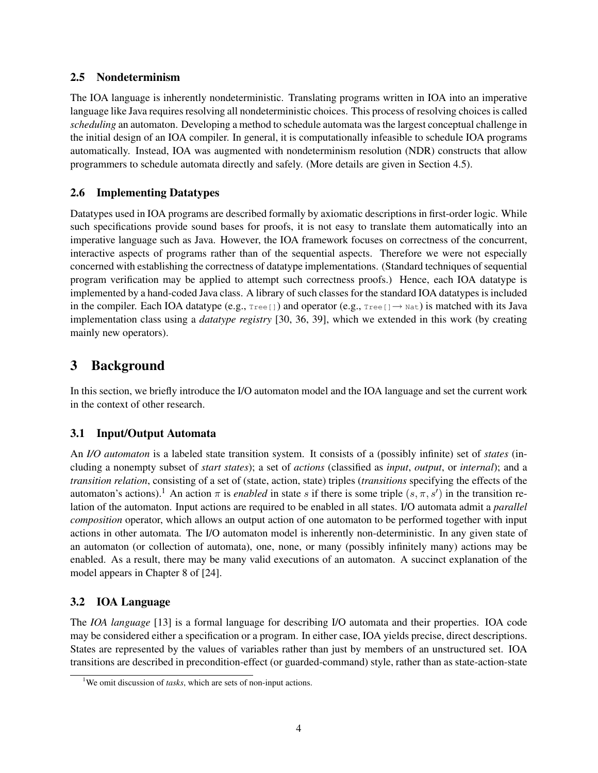## 2.5 Nondeterminism

The IOA language is inherently nondeterministic. Translating programs written in IOA into an imperative language like Java requires resolving all nondeterministic choices. This process of resolving choices is called *scheduling* an automaton. Developing a method to schedule automata was the largest conceptual challenge in the initial design of an IOA compiler. In general, it is computationally infeasible to schedule IOA programs automatically. Instead, IOA was augmented with nondeterminism resolution (NDR) constructs that allow programmers to schedule automata directly and safely. (More details are given in Section 4.5).

# 2.6 Implementing Datatypes

Datatypes used in IOA programs are described formally by axiomatic descriptions in first-order logic. While such specifications provide sound bases for proofs, it is not easy to translate them automatically into an imperative language such as Java. However, the IOA framework focuses on correctness of the concurrent, interactive aspects of programs rather than of the sequential aspects. Therefore we were not especially concerned with establishing the correctness of datatype implementations. (Standard techniques of sequential program verification may be applied to attempt such correctness proofs.) Hence, each IOA datatype is implemented by a hand-coded Java class. A library of such classes for the standard IOA datatypes is included in the compiler. Each IOA datatype (e.g.,  $T_{\text{ree}}(1)$ ) and operator (e.g.,  $T_{\text{ree}}(1 \rightarrow \text{Nat})$ ) is matched with its Java implementation class using a *datatype registry* [30, 36, 39], which we extended in this work (by creating mainly new operators).

# 3 Background

In this section, we briefly introduce the I/O automaton model and the IOA language and set the current work in the context of other research.

# 3.1 Input/Output Automata

An *I/O automaton* is a labeled state transition system. It consists of a (possibly infinite) set of *states* (including a nonempty subset of *start states*); a set of *actions* (classified as *input*, *output*, or *internal*); and a *transition relation*, consisting of a set of (state, action, state) triples (*transitions* specifying the effects of the automaton's actions).<sup>1</sup> An action  $\pi$  is *enabled* in state s if there is some triple  $(s, \pi, s')$  in the transition relation of the automaton. Input actions are required to be enabled in all states. I/O automata admit a *parallel composition* operator, which allows an output action of one automaton to be performed together with input actions in other automata. The I/O automaton model is inherently non-deterministic. In any given state of an automaton (or collection of automata), one, none, or many (possibly infinitely many) actions may be enabled. As a result, there may be many valid executions of an automaton. A succinct explanation of the model appears in Chapter 8 of [24].

# 3.2 IOA Language

The *IOA language* [13] is a formal language for describing I/O automata and their properties. IOA code may be considered either a specification or a program. In either case, IOA yields precise, direct descriptions. States are represented by the values of variables rather than just by members of an unstructured set. IOA transitions are described in precondition-effect (or guarded-command) style, rather than as state-action-state

<sup>&</sup>lt;sup>1</sup>We omit discussion of *tasks*, which are sets of non-input actions.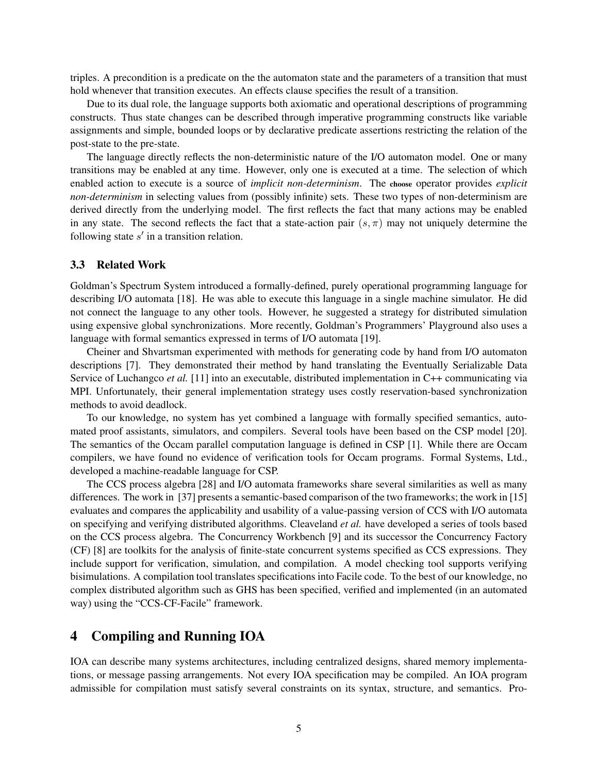triples. A precondition is a predicate on the the automaton state and the parameters of a transition that must hold whenever that transition executes. An effects clause specifies the result of a transition.

Due to its dual role, the language supports both axiomatic and operational descriptions of programming constructs. Thus state changes can be described through imperative programming constructs like variable assignments and simple, bounded loops or by declarative predicate assertions restricting the relation of the post-state to the pre-state.

The language directly reflects the non-deterministic nature of the I/O automaton model. One or many transitions may be enabled at any time. However, only one is executed at a time. The selection of which enabled action to execute is a source of *implicit non-determinism*. The choose operator provides *explicit non-determinism* in selecting values from (possibly infinite) sets. These two types of non-determinism are derived directly from the underlying model. The first reflects the fact that many actions may be enabled in any state. The second reflects the fact that a state-action pair  $(s, \pi)$  may not uniquely determine the following state  $s'$  in a transition relation.

## 3.3 Related Work

Goldman's Spectrum System introduced a formally-defined, purely operational programming language for describing I/O automata [18]. He was able to execute this language in a single machine simulator. He did not connect the language to any other tools. However, he suggested a strategy for distributed simulation using expensive global synchronizations. More recently, Goldman's Programmers' Playground also uses a language with formal semantics expressed in terms of I/O automata [19].

Cheiner and Shvartsman experimented with methods for generating code by hand from I/O automaton descriptions [7]. They demonstrated their method by hand translating the Eventually Serializable Data Service of Luchangco *et al.* [11] into an executable, distributed implementation in C++ communicating via MPI. Unfortunately, their general implementation strategy uses costly reservation-based synchronization methods to avoid deadlock.

To our knowledge, no system has yet combined a language with formally specified semantics, automated proof assistants, simulators, and compilers. Several tools have been based on the CSP model [20]. The semantics of the Occam parallel computation language is defined in CSP [1]. While there are Occam compilers, we have found no evidence of verification tools for Occam programs. Formal Systems, Ltd., developed a machine-readable language for CSP.

The CCS process algebra [28] and I/O automata frameworks share several similarities as well as many differences. The work in [37] presents a semantic-based comparison of the two frameworks; the work in [15] evaluates and compares the applicability and usability of a value-passing version of CCS with I/O automata on specifying and verifying distributed algorithms. Cleaveland *et al.* have developed a series of tools based on the CCS process algebra. The Concurrency Workbench [9] and its successor the Concurrency Factory (CF) [8] are toolkits for the analysis of finite-state concurrent systems specified as CCS expressions. They include support for verification, simulation, and compilation. A model checking tool supports verifying bisimulations. A compilation tool translates specifications into Facile code. To the best of our knowledge, no complex distributed algorithm such as GHS has been specified, verified and implemented (in an automated way) using the "CCS-CF-Facile" framework.

## 4 Compiling and Running IOA

IOA can describe many systems architectures, including centralized designs, shared memory implementations, or message passing arrangements. Not every IOA specification may be compiled. An IOA program admissible for compilation must satisfy several constraints on its syntax, structure, and semantics. Pro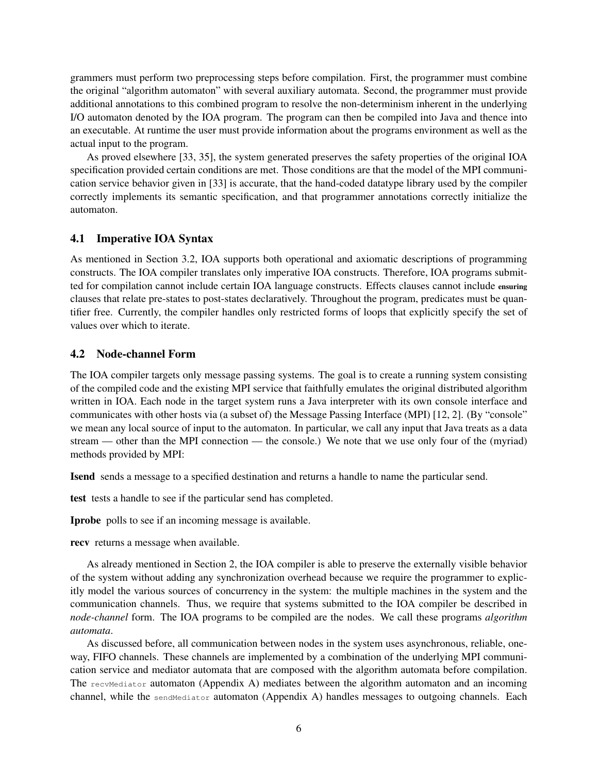grammers must perform two preprocessing steps before compilation. First, the programmer must combine the original "algorithm automaton" with several auxiliary automata. Second, the programmer must provide additional annotations to this combined program to resolve the non-determinism inherent in the underlying I/O automaton denoted by the IOA program. The program can then be compiled into Java and thence into an executable. At runtime the user must provide information about the programs environment as well as the actual input to the program.

As proved elsewhere [33, 35], the system generated preserves the safety properties of the original IOA specification provided certain conditions are met. Those conditions are that the model of the MPI communication service behavior given in [33] is accurate, that the hand-coded datatype library used by the compiler correctly implements its semantic specification, and that programmer annotations correctly initialize the automaton.

### 4.1 Imperative IOA Syntax

As mentioned in Section 3.2, IOA supports both operational and axiomatic descriptions of programming constructs. The IOA compiler translates only imperative IOA constructs. Therefore, IOA programs submitted for compilation cannot include certain IOA language constructs. Effects clauses cannot include ensuring clauses that relate pre-states to post-states declaratively. Throughout the program, predicates must be quantifier free. Currently, the compiler handles only restricted forms of loops that explicitly specify the set of values over which to iterate.

### 4.2 Node-channel Form

The IOA compiler targets only message passing systems. The goal is to create a running system consisting of the compiled code and the existing MPI service that faithfully emulates the original distributed algorithm written in IOA. Each node in the target system runs a Java interpreter with its own console interface and communicates with other hosts via (a subset of) the Message Passing Interface (MPI) [12, 2]. (By "console" we mean any local source of input to the automaton. In particular, we call any input that Java treats as a data stream — other than the MPI connection — the console.) We note that we use only four of the (myriad) methods provided by MPI:

Isend sends a message to a specified destination and returns a handle to name the particular send.

test tests a handle to see if the particular send has completed.

Iprobe polls to see if an incoming message is available.

recv returns a message when available.

As already mentioned in Section 2, the IOA compiler is able to preserve the externally visible behavior of the system without adding any synchronization overhead because we require the programmer to explicitly model the various sources of concurrency in the system: the multiple machines in the system and the communication channels. Thus, we require that systems submitted to the IOA compiler be described in *node-channel* form. The IOA programs to be compiled are the nodes. We call these programs *algorithm automata*.

As discussed before, all communication between nodes in the system uses asynchronous, reliable, oneway, FIFO channels. These channels are implemented by a combination of the underlying MPI communication service and mediator automata that are composed with the algorithm automata before compilation. The recymediator automaton (Appendix A) mediates between the algorithm automaton and an incoming channel, while the sendMediator automaton (Appendix A) handles messages to outgoing channels. Each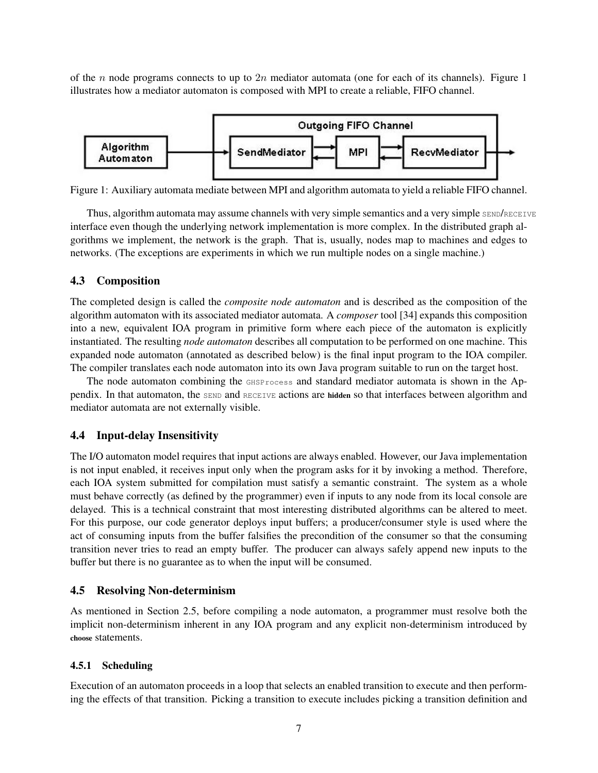of the n node programs connects to up to  $2n$  mediator automata (one for each of its channels). Figure 1 illustrates how a mediator automaton is composed with MPI to create a reliable, FIFO channel.



Figure 1: Auxiliary automata mediate between MPI and algorithm automata to yield a reliable FIFO channel.

Thus, algorithm automata may assume channels with very simple semantics and a very simple SEND/RECEIVE interface even though the underlying network implementation is more complex. In the distributed graph algorithms we implement, the network is the graph. That is, usually, nodes map to machines and edges to networks. (The exceptions are experiments in which we run multiple nodes on a single machine.)

#### 4.3 Composition

The completed design is called the *composite node automaton* and is described as the composition of the algorithm automaton with its associated mediator automata. A *composer* tool [34] expands this composition into a new, equivalent IOA program in primitive form where each piece of the automaton is explicitly instantiated. The resulting *node automaton* describes all computation to be performed on one machine. This expanded node automaton (annotated as described below) is the final input program to the IOA compiler. The compiler translates each node automaton into its own Java program suitable to run on the target host.

The node automaton combining the GHSProcess and standard mediator automata is shown in the Appendix. In that automaton, the SEND and RECEIVE actions are hidden so that interfaces between algorithm and mediator automata are not externally visible.

## 4.4 Input-delay Insensitivity

The I/O automaton model requires that input actions are always enabled. However, our Java implementation is not input enabled, it receives input only when the program asks for it by invoking a method. Therefore, each IOA system submitted for compilation must satisfy a semantic constraint. The system as a whole must behave correctly (as defined by the programmer) even if inputs to any node from its local console are delayed. This is a technical constraint that most interesting distributed algorithms can be altered to meet. For this purpose, our code generator deploys input buffers; a producer/consumer style is used where the act of consuming inputs from the buffer falsifies the precondition of the consumer so that the consuming transition never tries to read an empty buffer. The producer can always safely append new inputs to the buffer but there is no guarantee as to when the input will be consumed.

## 4.5 Resolving Non-determinism

As mentioned in Section 2.5, before compiling a node automaton, a programmer must resolve both the implicit non-determinism inherent in any IOA program and any explicit non-determinism introduced by choose statements.

#### 4.5.1 Scheduling

Execution of an automaton proceeds in a loop that selects an enabled transition to execute and then performing the effects of that transition. Picking a transition to execute includes picking a transition definition and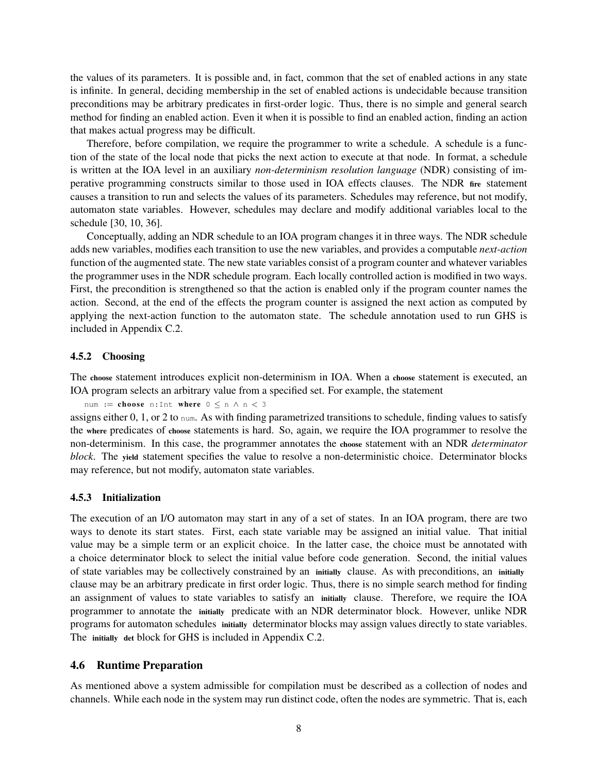the values of its parameters. It is possible and, in fact, common that the set of enabled actions in any state is infinite. In general, deciding membership in the set of enabled actions is undecidable because transition preconditions may be arbitrary predicates in first-order logic. Thus, there is no simple and general search method for finding an enabled action. Even it when it is possible to find an enabled action, finding an action that makes actual progress may be difficult.

Therefore, before compilation, we require the programmer to write a schedule. A schedule is a function of the state of the local node that picks the next action to execute at that node. In format, a schedule is written at the IOA level in an auxiliary *non-determinism resolution language* (NDR) consisting of imperative programming constructs similar to those used in IOA effects clauses. The NDR fire statement causes a transition to run and selects the values of its parameters. Schedules may reference, but not modify, automaton state variables. However, schedules may declare and modify additional variables local to the schedule [30, 10, 36].

Conceptually, adding an NDR schedule to an IOA program changes it in three ways. The NDR schedule adds new variables, modifies each transition to use the new variables, and provides a computable *next-action* function of the augmented state. The new state variables consist of a program counter and whatever variables the programmer uses in the NDR schedule program. Each locally controlled action is modified in two ways. First, the precondition is strengthened so that the action is enabled only if the program counter names the action. Second, at the end of the effects the program counter is assigned the next action as computed by applying the next-action function to the automaton state. The schedule annotation used to run GHS is included in Appendix C.2.

## 4.5.2 Choosing

The choose statement introduces explicit non-determinism in IOA. When a choose statement is executed, an IOA program selects an arbitrary value from a specified set. For example, the statement

num := choose n:Int where  $0 \le n \land n \le 3$ 

assigns either 0, 1, or 2 to num. As with finding parametrized transitions to schedule, finding values to satisfy the where predicates of choose statements is hard. So, again, we require the IOA programmer to resolve the non-determinism. In this case, the programmer annotates the choose statement with an NDR *determinator block*. The yield statement specifies the value to resolve a non-deterministic choice. Determinator blocks may reference, but not modify, automaton state variables.

#### 4.5.3 Initialization

The execution of an I/O automaton may start in any of a set of states. In an IOA program, there are two ways to denote its start states. First, each state variable may be assigned an initial value. That initial value may be a simple term or an explicit choice. In the latter case, the choice must be annotated with a choice determinator block to select the initial value before code generation. Second, the initial values of state variables may be collectively constrained by an initially clause. As with preconditions, an initially clause may be an arbitrary predicate in first order logic. Thus, there is no simple search method for finding an assignment of values to state variables to satisfy an initially clause. Therefore, we require the IOA programmer to annotate the initially predicate with an NDR determinator block. However, unlike NDR programs for automaton schedules initially determinator blocks may assign values directly to state variables. The initially det block for GHS is included in Appendix C.2.

### 4.6 Runtime Preparation

As mentioned above a system admissible for compilation must be described as a collection of nodes and channels. While each node in the system may run distinct code, often the nodes are symmetric. That is, each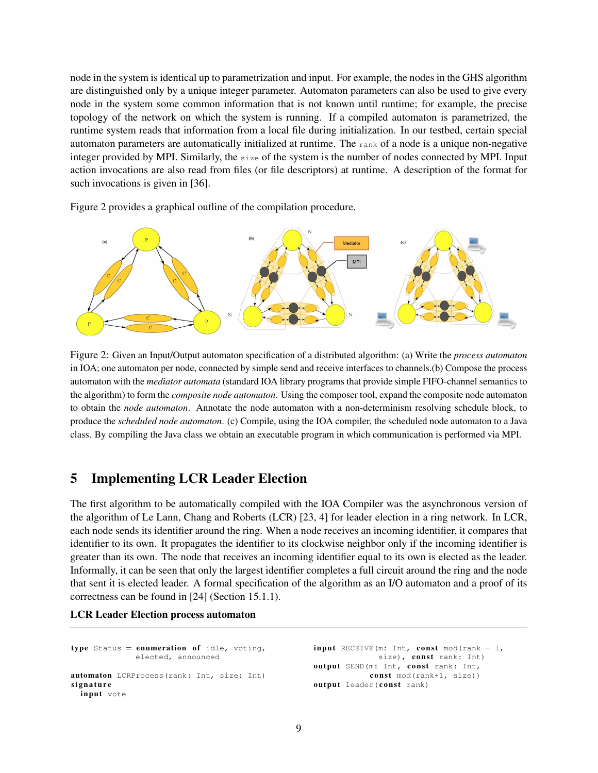node in the system is identical up to parametrization and input. For example, the nodes in the GHS algorithm are distinguished only by a unique integer parameter. Automaton parameters can also be used to give every node in the system some common information that is not known until runtime; for example, the precise topology of the network on which the system is running. If a compiled automaton is parametrized, the runtime system reads that information from a local file during initialization. In our testbed, certain special automaton parameters are automatically initialized at runtime. The  $r_{\text{rank}}$  of a node is a unique non-negative integer provided by MPI. Similarly, the size of the system is the number of nodes connected by MPI. Input action invocations are also read from files (or file descriptors) at runtime. A description of the format for such invocations is given in [36].

Figure 2 provides a graphical outline of the compilation procedure.



Figure 2: Given an Input/Output automaton specification of a distributed algorithm: (a) Write the *process automaton* in IOA; one automaton per node, connected by simple send and receive interfaces to channels.(b) Compose the process automaton with the *mediator automata* (standard IOA library programs that provide simple FIFO-channel semantics to the algorithm) to form the *composite node automaton*. Using the composer tool, expand the composite node automaton to obtain the *node automaton*. Annotate the node automaton with a non-determinism resolving schedule block, to produce the *scheduled node automaton*. (c) Compile, using the IOA compiler, the scheduled node automaton to a Java class. By compiling the Java class we obtain an executable program in which communication is performed via MPI.

# 5 Implementing LCR Leader Election

The first algorithm to be automatically compiled with the IOA Compiler was the asynchronous version of the algorithm of Le Lann, Chang and Roberts (LCR) [23, 4] for leader election in a ring network. In LCR, each node sends its identifier around the ring. When a node receives an incoming identifier, it compares that identifier to its own. It propagates the identifier to its clockwise neighbor only if the incoming identifier is greater than its own. The node that receives an incoming identifier equal to its own is elected as the leader. Informally, it can be seen that only the largest identifier completes a full circuit around the ring and the node that sent it is elected leader. A formal specification of the algorithm as an I/O automaton and a proof of its correctness can be found in [24] (Section 15.1.1).

#### LCR Leader Election process automaton

type Status = enumeration of idle, voting, elected, announced automaton LCRProcess(rank: Int, size: Int) signature input vote

```
input RECEIVE(m: Int, const mod(rank - 1,
             size), const rank: Int)
output SEND (m: Int, const rank: Int,
            const mod(rank+1, size))
output leader(const rank)
```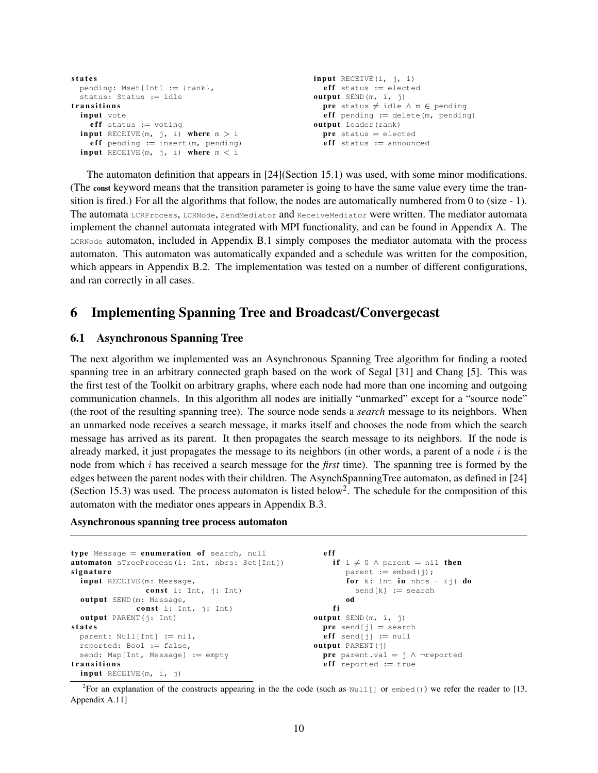```
s t a t e s
 pending: Mset [Int] := {rank},
 status: Status := idle
transitions
 input vote
   eff status := voting
  input RECEIVE(m, j, i) where m > ieff pending := insert (m, pending)
  input RECEIVE(m, j, i) where m < iinput RECEIVE(i, j, i)eff status := elected
                                                     output SEMD(m, i, j)pre status \neq idle ∧ m ∈ pending
                                                       eff pending := delete(m, pending)
                                                     output leader(rank)
                                                       pre status = elected
                                                       eff status := announced
```
The automaton definition that appears in [24](Section 15.1) was used, with some minor modifications. (The const keyword means that the transition parameter is going to have the same value every time the transition is fired.) For all the algorithms that follow, the nodes are automatically numbered from 0 to (size - 1). The automata LCRProcess, LCRNode, SendMediator and ReceiveMediator were written. The mediator automata implement the channel automata integrated with MPI functionality, and can be found in Appendix A. The LCRNode automaton, included in Appendix B.1 simply composes the mediator automata with the process automaton. This automaton was automatically expanded and a schedule was written for the composition, which appears in Appendix B.2. The implementation was tested on a number of different configurations, and ran correctly in all cases.

# 6 Implementing Spanning Tree and Broadcast/Convergecast

## 6.1 Asynchronous Spanning Tree

The next algorithm we implemented was an Asynchronous Spanning Tree algorithm for finding a rooted spanning tree in an arbitrary connected graph based on the work of Segal [31] and Chang [5]. This was the first test of the Toolkit on arbitrary graphs, where each node had more than one incoming and outgoing communication channels. In this algorithm all nodes are initially "unmarked" except for a "source node" (the root of the resulting spanning tree). The source node sends a *search* message to its neighbors. When an unmarked node receives a search message, it marks itself and chooses the node from which the search message has arrived as its parent. It then propagates the search message to its neighbors. If the node is already marked, it just propagates the message to its neighbors (in other words, a parent of a node  $i$  is the node from which i has received a search message for the *first* time). The spanning tree is formed by the edges between the parent nodes with their children. The AsynchSpanningTree automaton, as defined in [24] (Section 15.3) was used. The process automaton is listed below<sup>2</sup>. The schedule for the composition of this automaton with the mediator ones appears in Appendix B.3.

#### Asynchronous spanning tree process automaton

```
type Message = enumeration of search, null
automaton sTreeProcess(i: Int, nbrs: Set[Int])
signature
 input RECEIVE (m: Message,
               const i: Int, j: Int)output SEND (m: Message,
             const i: Int. \vdots Int)output PARENT(j: Int)
states
 parent: Null[Int] := nil,
 reported: Bool := false,
 send: Map[Int, Message] := empty
transitions
  input RECEIVE(m, i, j)e f f
                                                          if i \neq 0 \land parent = nil then
                                                             parent := embed(i);
                                                             for k: Int in nbrs - {j} do
                                                               send[k] := searchod
                                                          f i
                                                      output SEMD(m, i, j)pre \text{send}[j] = searcheff send[j] := null
                                                      output PARENT(j)pre parent.val = j ∧ ¬reported
                                                        eff reported := true
```
<sup>2</sup> For an explanation of the constructs appearing in the the code (such as Null [] or embed()) we refer the reader to [13, Appendix A.11]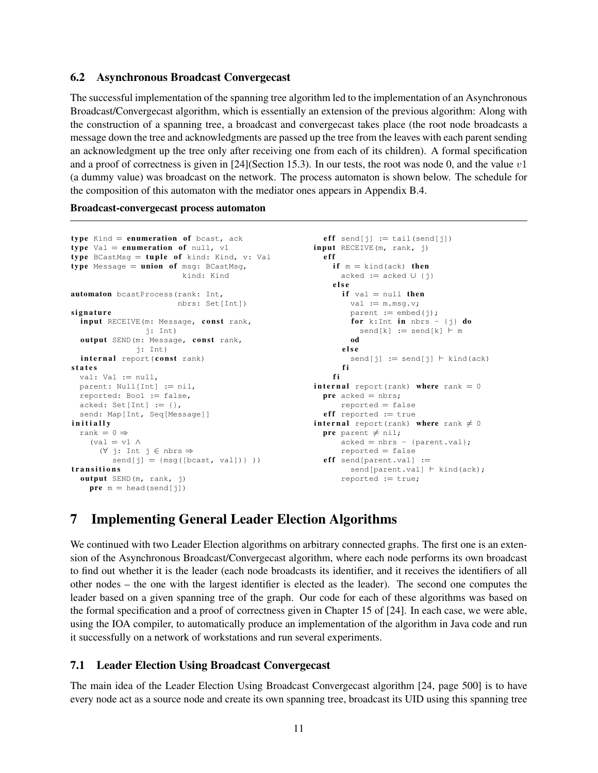## 6.2 Asynchronous Broadcast Convergecast

The successful implementation of the spanning tree algorithm led to the implementation of an Asynchronous Broadcast/Convergecast algorithm, which is essentially an extension of the previous algorithm: Along with the construction of a spanning tree, a broadcast and convergecast takes place (the root node broadcasts a message down the tree and acknowledgments are passed up the tree from the leaves with each parent sending an acknowledgment up the tree only after receiving one from each of its children). A formal specification and a proof of correctness is given in [24](Section 15.3). In our tests, the root was node 0, and the value  $v1$ (a dummy value) was broadcast on the network. The process automaton is shown below. The schedule for the composition of this automaton with the mediator ones appears in Appendix B.4.

Broadcast-convergecast process automaton

```
type Kind = enumeration of bcast, ack
type Val = enumeration of null, v1type BCastMsq = tuple of kind: Kind, v: Val
type Message = union of msg: BCastMsg,
                        kind: Kind
automaton bcastProcess(rank: Int,
                       nbrs: Set[Int])
signature
 input RECEIVE(m: Message, const rank,
          j: Int)
  output SEND(m: Message, const rank,
             j: Int)
 internal report(const rank)
s t a t e s
 val: Val := null,
 parent: Null[Int] := nil,
 reported: Bool := false,
 acked: Set [Int] := \{\},
 send: Map[Int, Seq[Message]]
initially
 rank = 0 \Rightarrow(va1 = v1 \wedge(∀ j: Int j ∈ nbrs ⇒
         send[j] = {msg([box, val])})transitions
  output SEMD(m, rank, j)pre m = head(send[j])
                                                        eff send[j] := tail(send[j])
                                                     input RECEIVE(m, rank, j)e f f
                                                        if m = kind(ack) then
                                                           acked := acked \cup {j}
                                                          e l s e
                                                          if val = null then
                                                             val := \text{m.msq.v;}parent := embed(i);for k:Int in nbrs - \{j\} do
                                                               send[k] := send[k] \vdash mod
                                                            e l s e
                                                             send[j] := send[j] \vdash kind(ack)
                                                            f i
                                                         f i
                                                     internal report(rank) where rank = 0pre acked = nbrs;
                                                           reported = falseeff reported := true
                                                     internal report(rank) where rank \neq 0pre parent \neq nil;
                                                           acked = nbrs - {parent.val};reported = false
                                                     eff send[parent.val] :=send[parent.val] \vdash kind(ack);
                                                            reported := true;
```
# 7 Implementing General Leader Election Algorithms

We continued with two Leader Election algorithms on arbitrary connected graphs. The first one is an extension of the Asynchronous Broadcast/Convergecast algorithm, where each node performs its own broadcast to find out whether it is the leader (each node broadcasts its identifier, and it receives the identifiers of all other nodes – the one with the largest identifier is elected as the leader). The second one computes the leader based on a given spanning tree of the graph. Our code for each of these algorithms was based on the formal specification and a proof of correctness given in Chapter 15 of [24]. In each case, we were able, using the IOA compiler, to automatically produce an implementation of the algorithm in Java code and run it successfully on a network of workstations and run several experiments.

# 7.1 Leader Election Using Broadcast Convergecast

The main idea of the Leader Election Using Broadcast Convergecast algorithm [24, page 500] is to have every node act as a source node and create its own spanning tree, broadcast its UID using this spanning tree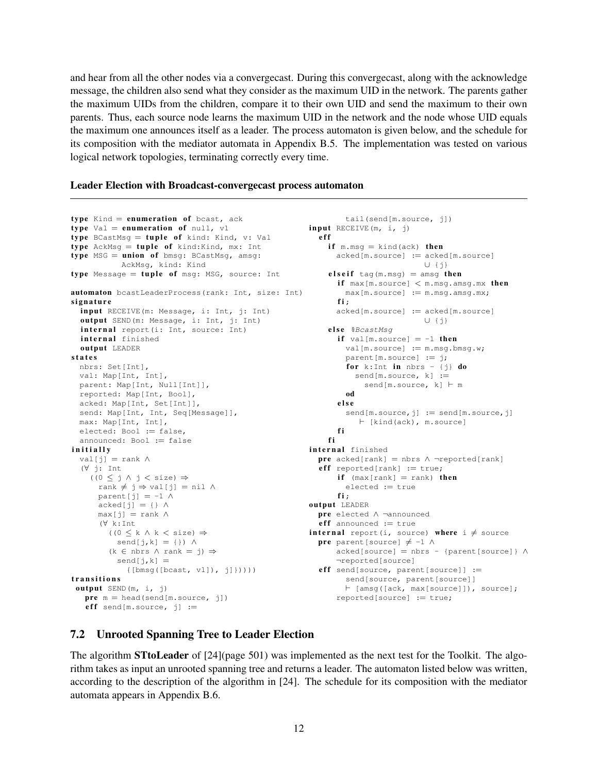and hear from all the other nodes via a convergecast. During this convergecast, along with the acknowledge message, the children also send what they consider as the maximum UID in the network. The parents gather the maximum UIDs from the children, compare it to their own UID and send the maximum to their own parents. Thus, each source node learns the maximum UID in the network and the node whose UID equals the maximum one announces itself as a leader. The process automaton is given below, and the schedule for its composition with the mediator automata in Appendix B.5. The implementation was tested on various logical network topologies, terminating correctly every time.

#### Leader Election with Broadcast-convergecast process automaton

```
type Kind = enumeration of bcast, ack
type Val = enumeration of null, vltype BCastMsq = tuple of kind: Kind, v: Val
type AckMsg = tuple of kind:Kind, mx: Int
type MSG = union of bmsg: BCastMsg, amsg:AckMsg, kind: Kind
type Message = tuple of msg: MSG, source: Int
automaton bcastLeaderProcess(rank: Int, size: Int)
signature
  input RECEIVE(m: Message, i: Int, j: Int)
  output SEND(m: Message, i: Int, j: Int)
  internal report(i: Int, source: Int)
  internal finished
  output LEADER
s tates
  nbrs: Set[Int],
  val: Map[Int, Int],
 parent: Map[Int, Null[Int]],
 reported: Map[Int, Bool],
  acked: Map[Int, Set[Int]],
  send: Map[Int, Int, Seq[Message]],
  max: Map[Int, Int],
 elected: Bool := false,
 announced: Bool := false
initially
  val[i] = rank \wedge(∀ j: Int
    ((0 ≤ j ∧ j < size) ⇒
      rank \neq j \Rightarrow val[j] = nil \landparent[j] = -1 \wedgeacked[j] = \{\}\wedgemax[j] = rank ∧
      (∀ k:Int
        ((0 \leq k \wedge k \lt size) \Rightarrowsend[j,k] = \{\}) \wedge(k ∈ nbrs ∧ rank = j) ⇒
          send[j,k] ={[bmsg([bcast, v1]), j]}))))
transitions
 output SEMD(m, i, j)pre m = head(send[m.source, j])
   eff send[m.source, j] :=
```

```
tail(send[m.source, j])
input RECEIVE(m, i, j)e f f
    if m.msg = kind(ack) then
      acked[m.source] := acked[m.source]
                          ∪ {j}
     elseif tag(m.msg) = \text{amsg} then
       if max[m,source] < m.msg.amsq.mx then
        max[m.source] := m.msg.amsg.mx;fi:
      acked[m.source] := acked[m.source]
                          U \{\dagger\}else %BcastMsg
      if val[m,source] = -1 then
        val[m.source] := m.msq.bmsq.w;parent [m.source] := j;for k: Int in nbrs - {j} do
           send[m.source, k] :=
             send[m.source, k] \vdash mod
       e l s e
        send[m.source,j] := send[m.source,j]
            \vdash [kind(ack), m.source]
       f i
    f i
internal finished
  pre acked[rank] = nbrs \land ¬reported[rank]
  eff reported[rank] := true;
       if (max[rank] = rank) then
        elected := true
       fi:
output LEADER
  pre elected ∧ ¬announced
  eff announced := true
internal report(i, source) where i \neq source
 pre parent[source] \neq -1 \landacked[source] = nbrs - {parent[source]} \wedge¬reported[source]
 eff send[source, parent[source]] :=send[source, parent[source]]
        \vdash [amsg([ack, max[source]]), source];
      reported[source] := true;
```
## 7.2 Unrooted Spanning Tree to Leader Election

The algorithm **STtoLeader** of [24](page 501) was implemented as the next test for the Toolkit. The algorithm takes as input an unrooted spanning tree and returns a leader. The automaton listed below was written, according to the description of the algorithm in [24]. The schedule for its composition with the mediator automata appears in Appendix B.6.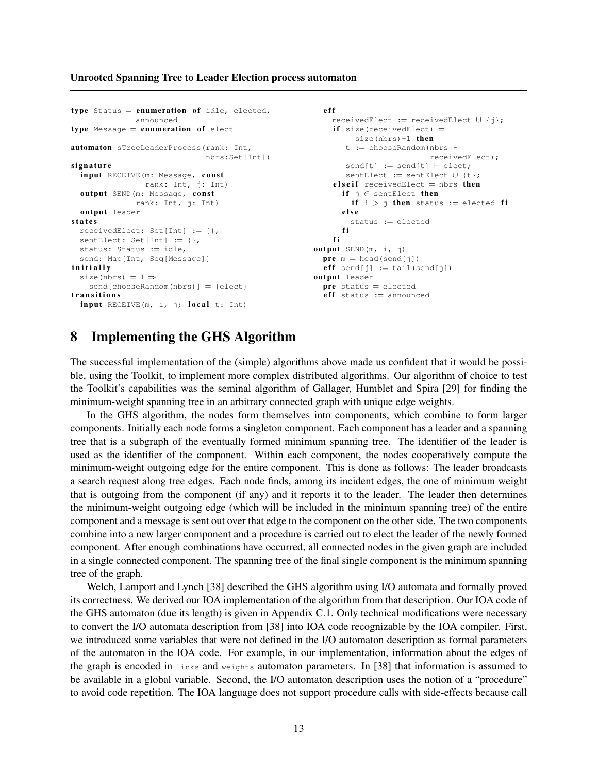Unrooted Spanning Tree to Leader Election process automaton

```
type Status = enumeration of idle, elected,
              announced
type Message = enumeration of elect
automaton sTreeLeaderProcess(rank: Int,
                              nbrs:Set[Int])
signature
 input RECEIVE(m: Message, const
               rank: Int, j: Int)
  output SEND(m: Message, const
             rank: Int, j: Int)
  output leader
s t a t e s
  receivedElect: Set[Int] := {},
 sentElect: Set[Int] := {},
 status: Status := idle,
 send: Map[Int, Seq[Message]]
initially
 size(nbrs) = 1 \Rightarrowsend[chooseRandom(nbrs)] = {elect}
transitions
 input RECEIVE(m, i, j; local t: Int)
                                                         e f f
                                                          receivedElect := receivedElect ∪ {j};
                                                          if size(receivedElect) =size(nbrs)-1 then
                                                              t := chooseRandom(nbrs -
                                                                                receivedElect);
                                                             send[t] := send[t] \vdash elect;
                                                              sentElect := sentElect ∪ {t};
                                                           elseif receivedElect = nbrs then
                                                             if j \in sentElect then
                                                               if i > j then status := elected fi
                                                             e l s e
                                                               status := elected
                                                             f i
                                                           f i
                                                      output SEMD(m, i, j)pre m = head(send[j])
                                                         eff send[j] := tail(send[j])
                                                      output leader
                                                        pre status = elected
                                                         eff status := announced
```
# 8 Implementing the GHS Algorithm

The successful implementation of the (simple) algorithms above made us confident that it would be possible, using the Toolkit, to implement more complex distributed algorithms. Our algorithm of choice to test the Toolkit's capabilities was the seminal algorithm of Gallager, Humblet and Spira [29] for finding the minimum-weight spanning tree in an arbitrary connected graph with unique edge weights.

In the GHS algorithm, the nodes form themselves into components, which combine to form larger components. Initially each node forms a singleton component. Each component has a leader and a spanning tree that is a subgraph of the eventually formed minimum spanning tree. The identifier of the leader is used as the identifier of the component. Within each component, the nodes cooperatively compute the minimum-weight outgoing edge for the entire component. This is done as follows: The leader broadcasts a search request along tree edges. Each node finds, among its incident edges, the one of minimum weight that is outgoing from the component (if any) and it reports it to the leader. The leader then determines the minimum-weight outgoing edge (which will be included in the minimum spanning tree) of the entire component and a message is sent out over that edge to the component on the other side. The two components combine into a new larger component and a procedure is carried out to elect the leader of the newly formed component. After enough combinations have occurred, all connected nodes in the given graph are included in a single connected component. The spanning tree of the final single component is the minimum spanning tree of the graph.

Welch, Lamport and Lynch [38] described the GHS algorithm using I/O automata and formally proved its correctness. We derived our IOA implementation of the algorithm from that description. Our IOA code of the GHS automaton (due its length) is given in Appendix C.1. Only technical modifications were necessary to convert the I/O automata description from [38] into IOA code recognizable by the IOA compiler. First, we introduced some variables that were not defined in the I/O automaton description as formal parameters of the automaton in the IOA code. For example, in our implementation, information about the edges of the graph is encoded in links and weights automaton parameters. In [38] that information is assumed to be available in a global variable. Second, the I/O automaton description uses the notion of a "procedure" to avoid code repetition. The IOA language does not support procedure calls with side-effects because call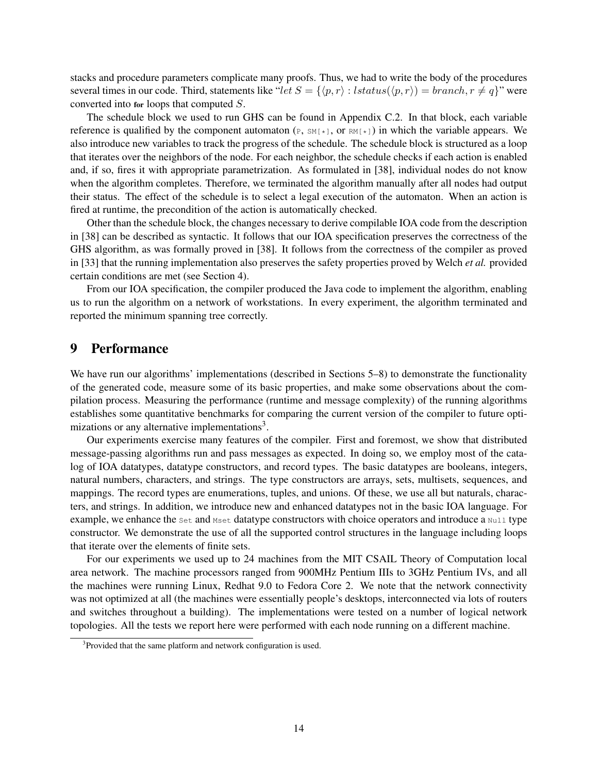stacks and procedure parameters complicate many proofs. Thus, we had to write the body of the procedures several times in our code. Third, statements like "let  $S = \{ \langle p, r \rangle : \text{l} status(\langle p, r \rangle) = \text{branch}, r \neq q \}$ " were converted into for loops that computed S.

The schedule block we used to run GHS can be found in Appendix C.2. In that block, each variable reference is qualified by the component automaton ( $\mathbb{P}$ ,  $\text{SM}[\star]$ , or  $\text{RM}[\star]$ ) in which the variable appears. We also introduce new variables to track the progress of the schedule. The schedule block is structured as a loop that iterates over the neighbors of the node. For each neighbor, the schedule checks if each action is enabled and, if so, fires it with appropriate parametrization. As formulated in [38], individual nodes do not know when the algorithm completes. Therefore, we terminated the algorithm manually after all nodes had output their status. The effect of the schedule is to select a legal execution of the automaton. When an action is fired at runtime, the precondition of the action is automatically checked.

Other than the schedule block, the changes necessary to derive compilable IOA code from the description in [38] can be described as syntactic. It follows that our IOA specification preserves the correctness of the GHS algorithm, as was formally proved in [38]. It follows from the correctness of the compiler as proved in [33] that the running implementation also preserves the safety properties proved by Welch *et al.* provided certain conditions are met (see Section 4).

From our IOA specification, the compiler produced the Java code to implement the algorithm, enabling us to run the algorithm on a network of workstations. In every experiment, the algorithm terminated and reported the minimum spanning tree correctly.

# 9 Performance

We have run our algorithms' implementations (described in Sections 5–8) to demonstrate the functionality of the generated code, measure some of its basic properties, and make some observations about the compilation process. Measuring the performance (runtime and message complexity) of the running algorithms establishes some quantitative benchmarks for comparing the current version of the compiler to future optimizations or any alternative implementations<sup>3</sup>.

Our experiments exercise many features of the compiler. First and foremost, we show that distributed message-passing algorithms run and pass messages as expected. In doing so, we employ most of the catalog of IOA datatypes, datatype constructors, and record types. The basic datatypes are booleans, integers, natural numbers, characters, and strings. The type constructors are arrays, sets, multisets, sequences, and mappings. The record types are enumerations, tuples, and unions. Of these, we use all but naturals, characters, and strings. In addition, we introduce new and enhanced datatypes not in the basic IOA language. For example, we enhance the set and Mset datatype constructors with choice operators and introduce a Null type constructor. We demonstrate the use of all the supported control structures in the language including loops that iterate over the elements of finite sets.

For our experiments we used up to 24 machines from the MIT CSAIL Theory of Computation local area network. The machine processors ranged from 900MHz Pentium IIIs to 3GHz Pentium IVs, and all the machines were running Linux, Redhat 9.0 to Fedora Core 2. We note that the network connectivity was not optimized at all (the machines were essentially people's desktops, interconnected via lots of routers and switches throughout a building). The implementations were tested on a number of logical network topologies. All the tests we report here were performed with each node running on a different machine.

<sup>&</sup>lt;sup>3</sup>Provided that the same platform and network configuration is used.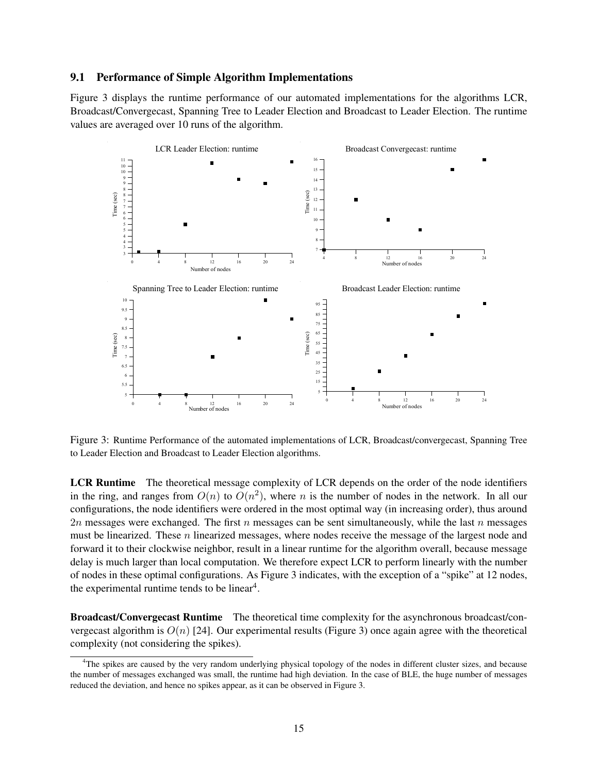#### 9.1 Performance of Simple Algorithm Implementations

Figure 3 displays the runtime performance of our automated implementations for the algorithms LCR, Broadcast/Convergecast, Spanning Tree to Leader Election and Broadcast to Leader Election. The runtime values are averaged over 10 runs of the algorithm.



Figure 3: Runtime Performance of the automated implementations of LCR, Broadcast/convergecast, Spanning Tree to Leader Election and Broadcast to Leader Election algorithms.

LCR Runtime The theoretical message complexity of LCR depends on the order of the node identifiers in the ring, and ranges from  $O(n)$  to  $O(n^2)$ , where n is the number of nodes in the network. In all our configurations, the node identifiers were ordered in the most optimal way (in increasing order), thus around 2n messages were exchanged. The first n messages can be sent simultaneously, while the last n messages must be linearized. These n linearized messages, where nodes receive the message of the largest node and forward it to their clockwise neighbor, result in a linear runtime for the algorithm overall, because message delay is much larger than local computation. We therefore expect LCR to perform linearly with the number of nodes in these optimal configurations. As Figure 3 indicates, with the exception of a "spike" at 12 nodes, the experimental runtime tends to be linear<sup>4</sup>.

Broadcast/Convergecast Runtime The theoretical time complexity for the asynchronous broadcast/convergecast algorithm is  $O(n)$  [24]. Our experimental results (Figure 3) once again agree with the theoretical complexity (not considering the spikes).

<sup>4</sup>The spikes are caused by the very random underlying physical topology of the nodes in different cluster sizes, and because the number of messages exchanged was small, the runtime had high deviation. In the case of BLE, the huge number of messages reduced the deviation, and hence no spikes appear, as it can be observed in Figure 3.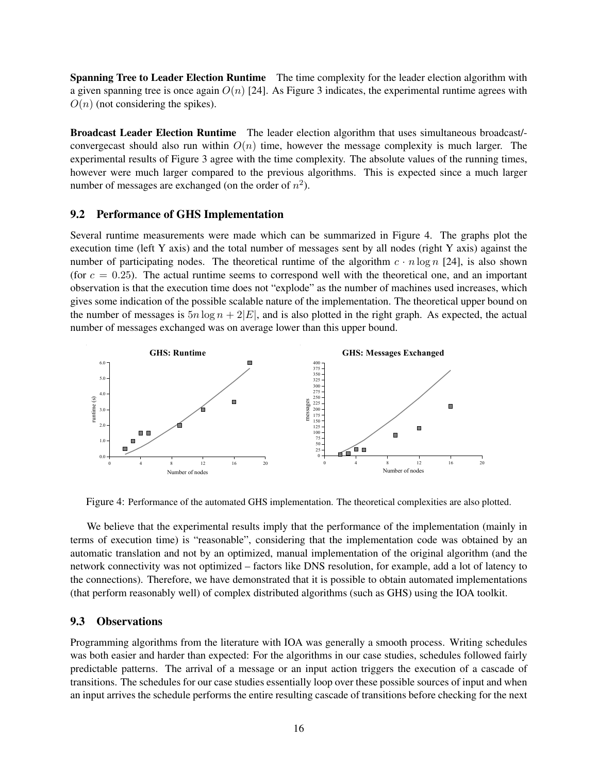Spanning Tree to Leader Election Runtime The time complexity for the leader election algorithm with a given spanning tree is once again  $O(n)$  [24]. As Figure 3 indicates, the experimental runtime agrees with  $O(n)$  (not considering the spikes).

Broadcast Leader Election Runtime The leader election algorithm that uses simultaneous broadcast/ convergecast should also run within  $O(n)$  time, however the message complexity is much larger. The experimental results of Figure 3 agree with the time complexity. The absolute values of the running times, however were much larger compared to the previous algorithms. This is expected since a much larger number of messages are exchanged (on the order of  $n^2$ ).

### 9.2 Performance of GHS Implementation

Several runtime measurements were made which can be summarized in Figure 4. The graphs plot the execution time (left Y axis) and the total number of messages sent by all nodes (right Y axis) against the number of participating nodes. The theoretical runtime of the algorithm  $c \cdot n \log n$  [24], is also shown (for  $c = 0.25$ ). The actual runtime seems to correspond well with the theoretical one, and an important observation is that the execution time does not "explode" as the number of machines used increases, which gives some indication of the possible scalable nature of the implementation. The theoretical upper bound on the number of messages is  $5n \log n + 2|E|$ , and is also plotted in the right graph. As expected, the actual number of messages exchanged was on average lower than this upper bound.



Figure 4: Performance of the automated GHS implementation. The theoretical complexities are also plotted.

We believe that the experimental results imply that the performance of the implementation (mainly in terms of execution time) is "reasonable", considering that the implementation code was obtained by an automatic translation and not by an optimized, manual implementation of the original algorithm (and the network connectivity was not optimized – factors like DNS resolution, for example, add a lot of latency to the connections). Therefore, we have demonstrated that it is possible to obtain automated implementations (that perform reasonably well) of complex distributed algorithms (such as GHS) using the IOA toolkit.

#### 9.3 Observations

Programming algorithms from the literature with IOA was generally a smooth process. Writing schedules was both easier and harder than expected: For the algorithms in our case studies, schedules followed fairly predictable patterns. The arrival of a message or an input action triggers the execution of a cascade of transitions. The schedules for our case studies essentially loop over these possible sources of input and when an input arrives the schedule performs the entire resulting cascade of transitions before checking for the next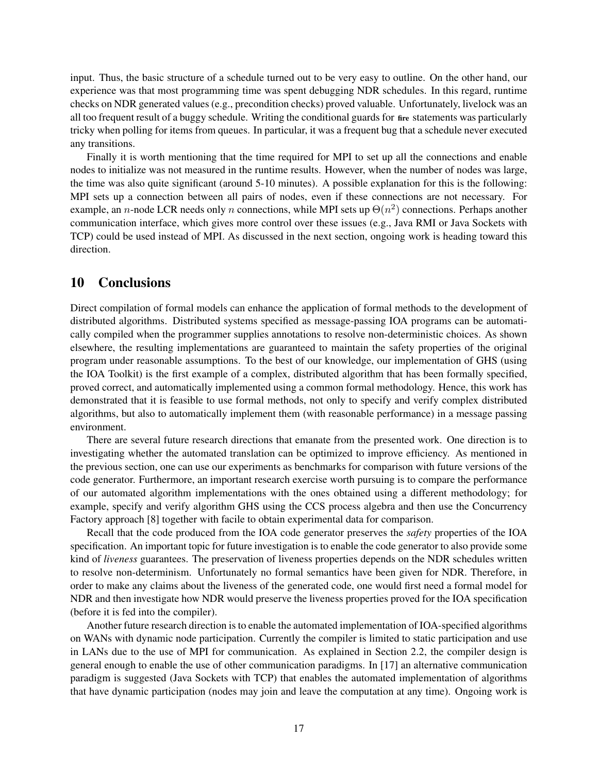input. Thus, the basic structure of a schedule turned out to be very easy to outline. On the other hand, our experience was that most programming time was spent debugging NDR schedules. In this regard, runtime checks on NDR generated values (e.g., precondition checks) proved valuable. Unfortunately, livelock was an all too frequent result of a buggy schedule. Writing the conditional guards for fire statements was particularly tricky when polling for items from queues. In particular, it was a frequent bug that a schedule never executed any transitions.

Finally it is worth mentioning that the time required for MPI to set up all the connections and enable nodes to initialize was not measured in the runtime results. However, when the number of nodes was large, the time was also quite significant (around 5-10 minutes). A possible explanation for this is the following: MPI sets up a connection between all pairs of nodes, even if these connections are not necessary. For example, an *n*-node LCR needs only *n* connections, while MPI sets up  $\Theta(n^2)$  connections. Perhaps another communication interface, which gives more control over these issues (e.g., Java RMI or Java Sockets with TCP) could be used instead of MPI. As discussed in the next section, ongoing work is heading toward this direction.

# 10 Conclusions

Direct compilation of formal models can enhance the application of formal methods to the development of distributed algorithms. Distributed systems specified as message-passing IOA programs can be automatically compiled when the programmer supplies annotations to resolve non-deterministic choices. As shown elsewhere, the resulting implementations are guaranteed to maintain the safety properties of the original program under reasonable assumptions. To the best of our knowledge, our implementation of GHS (using the IOA Toolkit) is the first example of a complex, distributed algorithm that has been formally specified, proved correct, and automatically implemented using a common formal methodology. Hence, this work has demonstrated that it is feasible to use formal methods, not only to specify and verify complex distributed algorithms, but also to automatically implement them (with reasonable performance) in a message passing environment.

There are several future research directions that emanate from the presented work. One direction is to investigating whether the automated translation can be optimized to improve efficiency. As mentioned in the previous section, one can use our experiments as benchmarks for comparison with future versions of the code generator. Furthermore, an important research exercise worth pursuing is to compare the performance of our automated algorithm implementations with the ones obtained using a different methodology; for example, specify and verify algorithm GHS using the CCS process algebra and then use the Concurrency Factory approach [8] together with facile to obtain experimental data for comparison.

Recall that the code produced from the IOA code generator preserves the *safety* properties of the IOA specification. An important topic for future investigation is to enable the code generator to also provide some kind of *liveness* guarantees. The preservation of liveness properties depends on the NDR schedules written to resolve non-determinism. Unfortunately no formal semantics have been given for NDR. Therefore, in order to make any claims about the liveness of the generated code, one would first need a formal model for NDR and then investigate how NDR would preserve the liveness properties proved for the IOA specification (before it is fed into the compiler).

Another future research direction is to enable the automated implementation of IOA-specified algorithms on WANs with dynamic node participation. Currently the compiler is limited to static participation and use in LANs due to the use of MPI for communication. As explained in Section 2.2, the compiler design is general enough to enable the use of other communication paradigms. In [17] an alternative communication paradigm is suggested (Java Sockets with TCP) that enables the automated implementation of algorithms that have dynamic participation (nodes may join and leave the computation at any time). Ongoing work is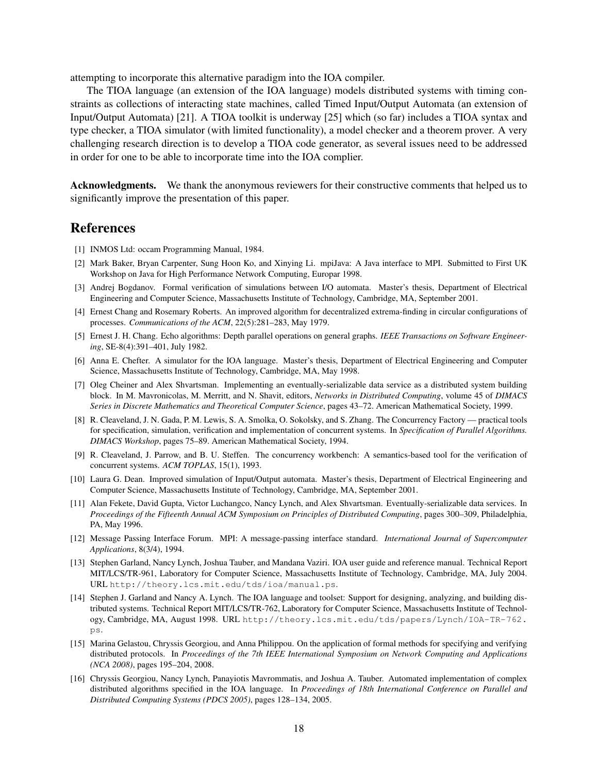attempting to incorporate this alternative paradigm into the IOA compiler.

The TIOA language (an extension of the IOA language) models distributed systems with timing constraints as collections of interacting state machines, called Timed Input/Output Automata (an extension of Input/Output Automata) [21]. A TIOA toolkit is underway [25] which (so far) includes a TIOA syntax and type checker, a TIOA simulator (with limited functionality), a model checker and a theorem prover. A very challenging research direction is to develop a TIOA code generator, as several issues need to be addressed in order for one to be able to incorporate time into the IOA complier.

Acknowledgments. We thank the anonymous reviewers for their constructive comments that helped us to significantly improve the presentation of this paper.

## References

- [1] INMOS Ltd: occam Programming Manual, 1984.
- [2] Mark Baker, Bryan Carpenter, Sung Hoon Ko, and Xinying Li. mpiJava: A Java interface to MPI. Submitted to First UK Workshop on Java for High Performance Network Computing, Europar 1998.
- [3] Andrej Bogdanov. Formal verification of simulations between I/O automata. Master's thesis, Department of Electrical Engineering and Computer Science, Massachusetts Institute of Technology, Cambridge, MA, September 2001.
- [4] Ernest Chang and Rosemary Roberts. An improved algorithm for decentralized extrema-finding in circular configurations of processes. *Communications of the ACM*, 22(5):281–283, May 1979.
- [5] Ernest J. H. Chang. Echo algorithms: Depth parallel operations on general graphs. *IEEE Transactions on Software Engineering*, SE-8(4):391–401, July 1982.
- [6] Anna E. Chefter. A simulator for the IOA language. Master's thesis, Department of Electrical Engineering and Computer Science, Massachusetts Institute of Technology, Cambridge, MA, May 1998.
- [7] Oleg Cheiner and Alex Shvartsman. Implementing an eventually-serializable data service as a distributed system building block. In M. Mavronicolas, M. Merritt, and N. Shavit, editors, *Networks in Distributed Computing*, volume 45 of *DIMACS Series in Discrete Mathematics and Theoretical Computer Science*, pages 43–72. American Mathematical Society, 1999.
- [8] R. Cleaveland, J. N. Gada, P. M. Lewis, S. A. Smolka, O. Sokolsky, and S. Zhang. The Concurrency Factory practical tools for specification, simulation, verification and implementation of concurrent systems. In *Specification of Parallel Algorithms. DIMACS Workshop*, pages 75–89. American Mathematical Society, 1994.
- [9] R. Cleaveland, J. Parrow, and B. U. Steffen. The concurrency workbench: A semantics-based tool for the verification of concurrent systems. *ACM TOPLAS*, 15(1), 1993.
- [10] Laura G. Dean. Improved simulation of Input/Output automata. Master's thesis, Department of Electrical Engineering and Computer Science, Massachusetts Institute of Technology, Cambridge, MA, September 2001.
- [11] Alan Fekete, David Gupta, Victor Luchangco, Nancy Lynch, and Alex Shvartsman. Eventually-serializable data services. In *Proceedings of the Fifteenth Annual ACM Symposium on Principles of Distributed Computing*, pages 300–309, Philadelphia, PA, May 1996.
- [12] Message Passing Interface Forum. MPI: A message-passing interface standard. *International Journal of Supercomputer Applications*, 8(3/4), 1994.
- [13] Stephen Garland, Nancy Lynch, Joshua Tauber, and Mandana Vaziri. IOA user guide and reference manual. Technical Report MIT/LCS/TR-961, Laboratory for Computer Science, Massachusetts Institute of Technology, Cambridge, MA, July 2004. URL http://theory.lcs.mit.edu/tds/ioa/manual.ps.
- [14] Stephen J. Garland and Nancy A. Lynch. The IOA language and toolset: Support for designing, analyzing, and building distributed systems. Technical Report MIT/LCS/TR-762, Laboratory for Computer Science, Massachusetts Institute of Technology, Cambridge, MA, August 1998. URL http://theory.lcs.mit.edu/tds/papers/Lynch/IOA-TR-762. ps.
- [15] Marina Gelastou, Chryssis Georgiou, and Anna Philippou. On the application of formal methods for specifying and verifying distributed protocols. In *Proceedings of the 7th IEEE International Symposium on Network Computing and Applications (NCA 2008)*, pages 195–204, 2008.
- [16] Chryssis Georgiou, Nancy Lynch, Panayiotis Mavrommatis, and Joshua A. Tauber. Automated implementation of complex distributed algorithms specified in the IOA language. In *Proceedings of 18th International Conference on Parallel and Distributed Computing Systems (PDCS 2005)*, pages 128–134, 2005.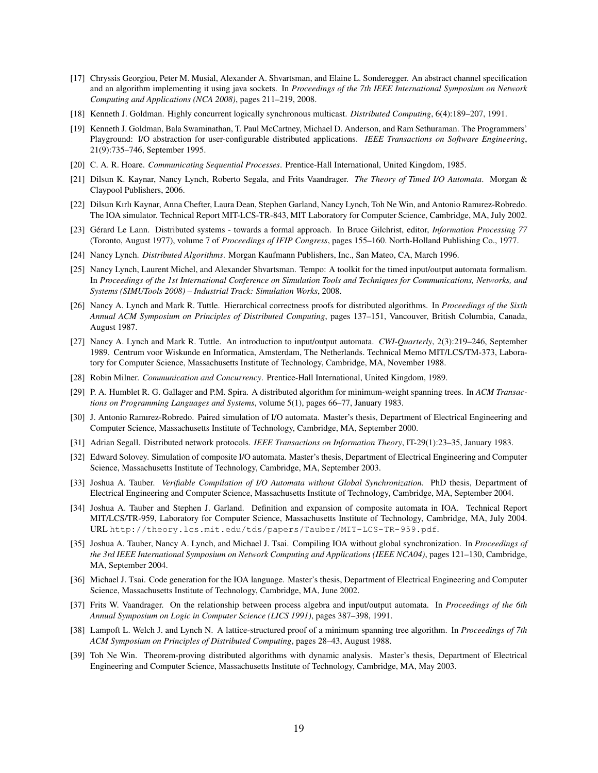- [17] Chryssis Georgiou, Peter M. Musial, Alexander A. Shvartsman, and Elaine L. Sonderegger. An abstract channel specification and an algorithm implementing it using java sockets. In *Proceedings of the 7th IEEE International Symposium on Network Computing and Applications (NCA 2008)*, pages 211–219, 2008.
- [18] Kenneth J. Goldman. Highly concurrent logically synchronous multicast. *Distributed Computing*, 6(4):189–207, 1991.
- [19] Kenneth J. Goldman, Bala Swaminathan, T. Paul McCartney, Michael D. Anderson, and Ram Sethuraman. The Programmers' Playground: I/O abstraction for user-configurable distributed applications. *IEEE Transactions on Software Engineering*, 21(9):735–746, September 1995.
- [20] C. A. R. Hoare. *Communicating Sequential Processes*. Prentice-Hall International, United Kingdom, 1985.
- [21] Dilsun K. Kaynar, Nancy Lynch, Roberto Segala, and Frits Vaandrager. *The Theory of Timed I/O Automata*. Morgan & Claypool Publishers, 2006.
- [22] Dilsun Kırlı Kaynar, Anna Chefter, Laura Dean, Stephen Garland, Nancy Lynch, Toh Ne Win, and Antonio Ramırez-Robredo. The IOA simulator. Technical Report MIT-LCS-TR-843, MIT Laboratory for Computer Science, Cambridge, MA, July 2002.
- [23] Gérard Le Lann. Distributed systems towards a formal approach. In Bruce Gilchrist, editor, *Information Processing 77* (Toronto, August 1977), volume 7 of *Proceedings of IFIP Congress*, pages 155–160. North-Holland Publishing Co., 1977.
- [24] Nancy Lynch. *Distributed Algorithms*. Morgan Kaufmann Publishers, Inc., San Mateo, CA, March 1996.
- [25] Nancy Lynch, Laurent Michel, and Alexander Shvartsman. Tempo: A toolkit for the timed input/output automata formalism. In *Proceedings of the 1st International Conference on Simulation Tools and Techniques for Communications, Networks, and Systems (SIMUTools 2008) – Industrial Track: Simulation Works*, 2008.
- [26] Nancy A. Lynch and Mark R. Tuttle. Hierarchical correctness proofs for distributed algorithms. In *Proceedings of the Sixth Annual ACM Symposium on Principles of Distributed Computing*, pages 137–151, Vancouver, British Columbia, Canada, August 1987.
- [27] Nancy A. Lynch and Mark R. Tuttle. An introduction to input/output automata. *CWI-Quarterly*, 2(3):219–246, September 1989. Centrum voor Wiskunde en Informatica, Amsterdam, The Netherlands. Technical Memo MIT/LCS/TM-373, Laboratory for Computer Science, Massachusetts Institute of Technology, Cambridge, MA, November 1988.
- [28] Robin Milner. *Communication and Concurrency*. Prentice-Hall International, United Kingdom, 1989.
- [29] P. A. Humblet R. G. Gallager and P.M. Spira. A distributed algorithm for minimum-weight spanning trees. In *ACM Transactions on Programming Languages and Systems*, volume 5(1), pages 66–77, January 1983.
- [30] J. Antonio Ramırez-Robredo. Paired simulation of I/O automata. Master's thesis, Department of Electrical Engineering and Computer Science, Massachusetts Institute of Technology, Cambridge, MA, September 2000.
- [31] Adrian Segall. Distributed network protocols. *IEEE Transactions on Information Theory*, IT-29(1):23–35, January 1983.
- [32] Edward Solovey. Simulation of composite I/O automata. Master's thesis, Department of Electrical Engineering and Computer Science, Massachusetts Institute of Technology, Cambridge, MA, September 2003.
- [33] Joshua A. Tauber. *Verifiable Compilation of I/O Automata without Global Synchronization*. PhD thesis, Department of Electrical Engineering and Computer Science, Massachusetts Institute of Technology, Cambridge, MA, September 2004.
- [34] Joshua A. Tauber and Stephen J. Garland. Definition and expansion of composite automata in IOA. Technical Report MIT/LCS/TR-959, Laboratory for Computer Science, Massachusetts Institute of Technology, Cambridge, MA, July 2004. URL http://theory.lcs.mit.edu/tds/papers/Tauber/MIT-LCS-TR-959.pdf.
- [35] Joshua A. Tauber, Nancy A. Lynch, and Michael J. Tsai. Compiling IOA without global synchronization. In *Proceedings of the 3rd IEEE International Symposium on Network Computing and Applications (IEEE NCA04)*, pages 121–130, Cambridge, MA, September 2004.
- [36] Michael J. Tsai. Code generation for the IOA language. Master's thesis, Department of Electrical Engineering and Computer Science, Massachusetts Institute of Technology, Cambridge, MA, June 2002.
- [37] Frits W. Vaandrager. On the relationship between process algebra and input/output automata. In *Proceedings of the 6th Annual Symposium on Logic in Computer Science (LICS 1991)*, pages 387–398, 1991.
- [38] Lampoft L. Welch J. and Lynch N. A lattice-structured proof of a minimum spanning tree algorithm. In *Proceedings of 7th ACM Symposium on Principles of Distributed Computing*, pages 28–43, August 1988.
- [39] Toh Ne Win. Theorem-proving distributed algorithms with dynamic analysis. Master's thesis, Department of Electrical Engineering and Computer Science, Massachusetts Institute of Technology, Cambridge, MA, May 2003.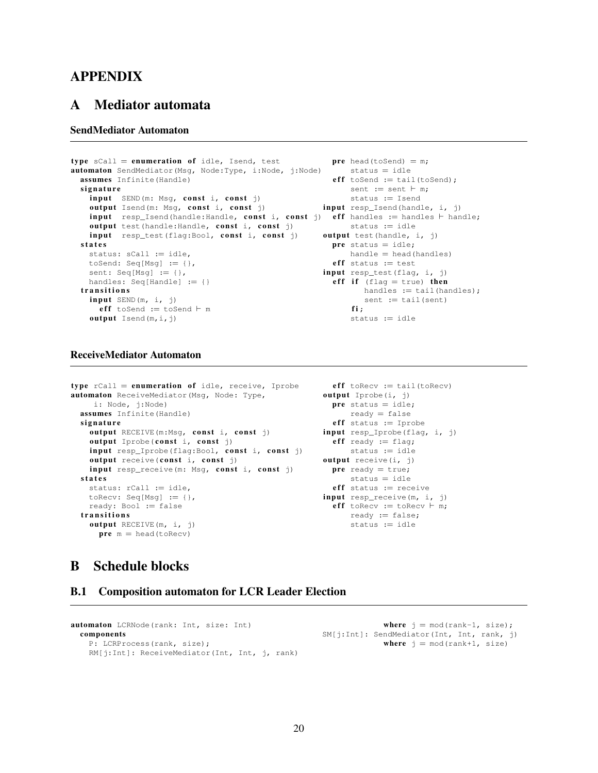# APPENDIX

# A Mediator automata

#### SendMediator Automaton

```
type sCall = enumeration of idle, Isend, testautomaton SendMediator(Msg, Node:Type, i:Node, j:Node)
  assumes Infinite(Handle)
  signature
    input SEND(m: Msq, const i, const j)
    output Isend(m: Msg, const i, const j)
     input resp_Isend(handle:Handle, const i, const j) eff handles := handles \vdash handle;
    output test(handle:Handle, const i, const j)
    input resp_test(flag:Bool, const i, const j)
  s tates
    status: sCall := idle,
    toSend: Seq[Msg] := {},
    sent: Seq[Msq] := \{\},handles: Seq[Handle] := {}
  transitions
    \quad \texttt{input} \ \texttt{SEND} \ (\texttt{m}, \ \texttt{i}, \ \texttt{j})eff toSend := toSend \vdash m
    output Isend(m,i,j)fi:
```

```
pre head(toSend) = m;
      status = idle
  eff toSend := tail(toSend);
      sent := sent \vdash m;
      status := Isend
input resp_Isend(handle, i, j)
      status := idle
output test(handle, i, j)
  pre status = idle;
      handle = head(handles)
  eff status := test
input resp_test(flag, i, j)
  eff if (f \triangleleft a) = \text{true} then
         handles := tail(handles);
         sent := tail(sent)
      status := idle
```
#### ReceiveMediator Automaton

```
type rCall = enumeration of idle, receive, Iprobeautomaton ReceiveMediator(Msg, Node: Type,
     i: Node, j:Node)
  assumes Infinite(Handle)
  signature
    output RECEIVE(m:Msg, const i, const j)
    output Iprobe(const i, const j)
    input resp_Iprobe(flag:Bool, const i, const j)
    output receive(const i, const j)
    input resp receive (m: Msq, const i, const j)s tates
    status: rCall := idle,
    toRecv: Seq[Msg] := { },
   ready: Bool := false
  transitions
    output RECEIVE(m, i, j)pre m = head(toRecv)
```

```
eff toRecv := tail(toRecv)
output Iprobe(i, \mathbf{i})
 pre status = idle;
      ready = false
  eff status := Iprobe
input resp_Iprobe(flag, i, j)
  eff ready := flag;
     status := idle
output receive(i, j)pre ready = true;
      status = idle
  eff status := receive
input resp_receive(m, i, j)
  eff toRecv := toRecv \vdash m;
      ready := false;
      status := idle
```
# B Schedule blocks

#### B.1 Composition automaton for LCR Leader Election

```
automaton LCRNode(rank: Int, size: Int)
  components
    P: LCRProcess(rank, size);
    RM[j:Int]: ReceiveMediator(Int, Int, j, rank)
```

```
where j = mod(rank-1, size);
SM[j:Int]: SendMediator(Int, Int, rank, j)
             where j = mod(rank+1, size)
```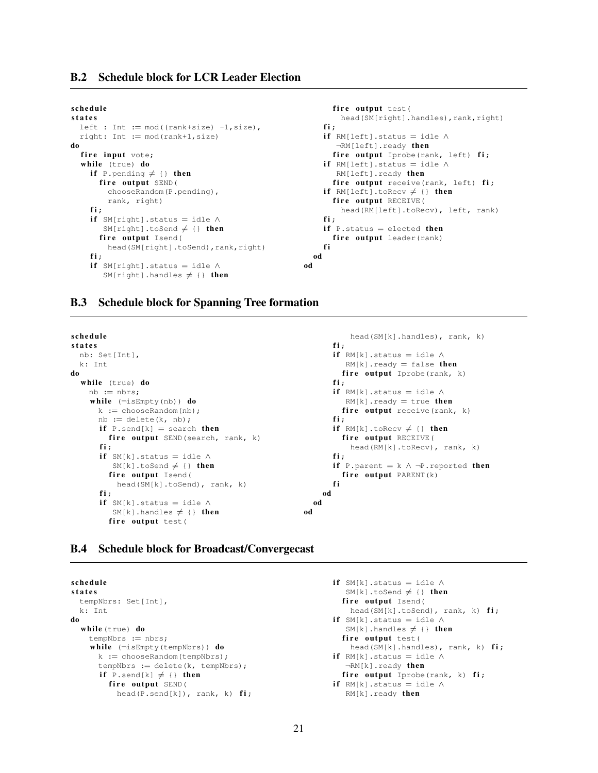### B.2 Schedule block for LCR Leader Election

```
schedule
s t a t e s
  left : Int := \text{mod}((\text{rank+size}) - 1, \text{size}),right: Int := mod(rank+1, size)do
  fire input vote;
  while (true) do
    if P.pending \neq {} then
      fire output SEND(
        chooseRandom(P.pending),
        rank, right)
    fi;
    if SM[right].status = idle \wedgeSM[right].toSend \neq {} then
      fire output Isend(
        head(SM[right].toSend), rank, right)
    fi:
    if SM[right].status = idle \wedgeSM[right].handles \neq {} then
                                                              fire output test(
                                                                head(SM[right].handles), rank, right)
                                                            fi:
                                                            if RM[left].status = idle \land¬RM[left].ready then
                                                              fire output Iprobe(rank, left) fi;
                                                            if RM[left].status = idle \landRM[left].ready then
                                                              fire output receive(rank, left) fi;
                                                            if RM[left].toRecv \neq {} then
                                                              fire output RECEIVE(
                                                                head(RM[left].toRecv), left, rank)
                                                            fi:
                                                            if P.status = elected then
                                                              fire output leader(rank)
                                                            f i
                                                         od
                                                       od
```
#### B.3 Schedule block for Spanning Tree formation

```
schedule
s t a t e s
  nb: Set[Int],
  k: Int
do
  while (true) do
    nb := nbrs;
    while (\neg \text{isEmpty}(nb)) do
      k := chooseRandom(nb):
      nb := delete(k, nb);if P.\text{send}[k] = \text{search} then
         fire output SEND(search, rank, k)
       fi :
       if SM[k].status = idle \wedgeSM[k].toSend \neq {} then
         fire output Isend(
           head(SM[k].toSend), rank, k)
       fi :
       if SM[k].status = idle \wedgeSM[k].handles \neq {} then
         fire output test(
```

```
head(SM[k].handles), rank, k)
  fi;
  if RM[k].status = idle \wedgeRM[k].ready = false then
    fire output Iprobe(rank, k)
  fi;
  if RM[k].status = idle \wedgeRM[k].ready = true then
    fire output receive(rank, k)
  fi ;
  if RM[k].toRecv \neq {} then
    fire output RECEIVE(
      head(RM[k].toRecv), rank, k)
  fi;
  if P.parent = k \wedge \neg P. reported then
    fire output PARENT(k)f i
od
```
#### B.4 Schedule block for Broadcast/Convergecast

```
schedule
s t a t e s
  tempNbrs: Set[Int],
  k: Int
do
  while (true) do
    tempNbrs := nbrs;
    while (\neg \text{isEmpty}(tempNbrs)) do
      k := chooseRandom(tempNbrs);
      tempNbrs := delete(k, tempNbrs);
      if P.send[k] \neq {} then
        fire output SEND(
           head(P.send[k]), rank, k) fi;
```

```
if SM[k].status = idle \wedgeSM[k].toSend \neq \{\} then
  fire output Isend(
    head(SM[k].toSend), rank, k) fi;
if SM[k].status = idle \wedgeSM[k].handles \neq \{\} then
  fire output test(
    head(SM[k].handles), rank, k) fi;
if RM[k].status = idle \wedge¬RM[k].ready then
  fire output Iprobe(rank, k) fi;
if RM[k].status = idle \wedgeRM[k].ready then
```
od od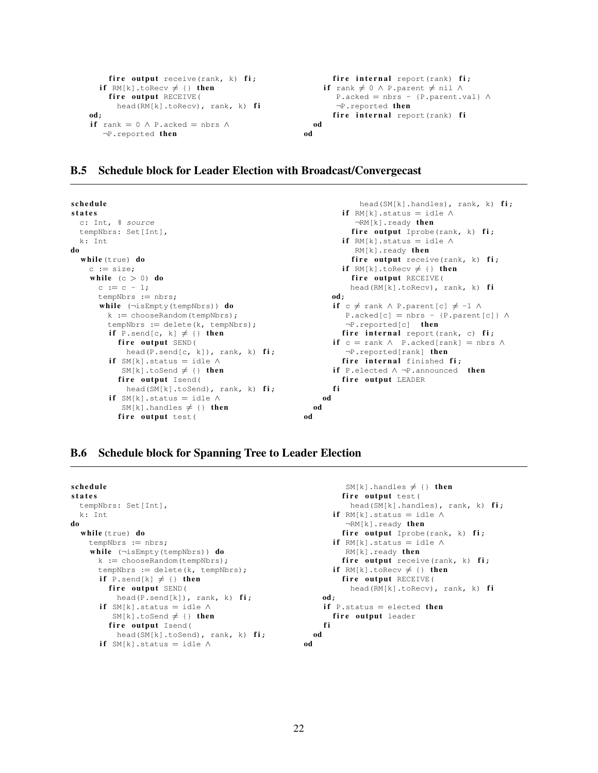```
fire output receive(rank, k) fi;
  if RM[k].toRecv \neq {} then
    fire output RECEIVE(
      head(RM[k].toRecv), rank, k) fi
od;
if rank = 0 \land P.acked = nbrs \land\negP.reported then
                                                        fire internal report(rank) fi;
                                                      if rank \neq 0 ∧ P.parent \neq nil ∧
                                                         P.acked = nbrs - {P.parent.val} ∧
                                                         ¬P.reported then
                                                        fire internal report(rank) fi
                                                    od
                                                  od
```
#### B.5 Schedule block for Leader Election with Broadcast/Convergecast

s chedule s t a t e s c: Int, % source tempNbrs: Set[Int], k: Int do while (true) do c := size; while  $(c > 0)$  do  $c := c - 1;$ tempNbrs := nbrs; while  $(\neg \text{isEmpty}(tempNbrs))$  do k := chooseRandom(tempNbrs); tempNbrs := delete(k, tempNbrs); if P.send[c, k]  $\neq$  {} then fire output SEND( head(P.send[c, k]),  $rank$ , k)  $fi$ ; if SM[k].status = idle  $\wedge$  $SM[k]$ .toSend  $\neq$  {} then fire output Isend( head(SM[k].toSend), rank, k)  $fi$ ; if  $SM[k]$ .status = idle  $\wedge$  $SM[k]$ .handles  $\neq \{\}$  then fire output test( head( $SM[k]$ .handles), rank, k)  $fi$ ; if RM[k].status = idle  $\wedge$ ¬RM[k].ready then fire output Iprobe(rank, k) fi; if RM[k].status = idle  $\wedge$ RM[k].ready then fire output receive(rank,  $k$ ) fi; if  $RM[k]$ .toRecv  $\neq \{\}$  then fire output RECEIVE( head(RM[k].toRecv), rank, k) fi od; if c  $\neq$  rank ∧ P.parent[c]  $\neq$  -1 ∧  $P.\text{acked}[c] = \text{nbrs - {P.parent[c]} \land$ ¬P.reported[c] then fire internal report (rank, c) fi; if  $c = rank \wedge P.acked[rank] = nbrs \wedge$ ¬P.reported[rank] then fire internal finished fi; if P.elected  $\land \neg P$ .announced then fire output LEADER f i od od od

#### B.6 Schedule block for Spanning Tree to Leader Election

```
s c h e d ul e
s t a t e s
  tempNbrs: Set[Int],
  k: Int
do
  while (true) do
    tempNbrs := nbrs;
    while (\neg \text{isEmpty}(tempNbrs)) do
      k := chooseRandom(tempNbrs);
      tempNbrs := delete(k, tempNbrs);
      if P.send[k] \neq {} then
         fire output SEND(
          head(P.send[k]), rank, k) fi;
      if SM[k].status = idle \wedgeSM[k].toSend \neq \{\} then
         fire output Isend(
           head(SM[k].toSend), rank, k) fi;
       if SM[k].status = idle \wedge
```

```
SM[k].handles \neq \{\} then
       fire output test(
        head(SM[k].handles), rank, k) fi;
    if RM[k].status = idle \wedge¬RM[k].ready then
       fire output Iprobe(rank, k) fi;
    if RM[k].status = idle \wedgeRM[k].ready then
      fire output receive(rank, k) fi;
    if RM[k].toRecv \neq \{\} then
      fire output RECEIVE(
        head(RM[k].toRecv), rank, k) fi
  od;
  if P.status = elected then
    fire output leader
  f i
od
```
od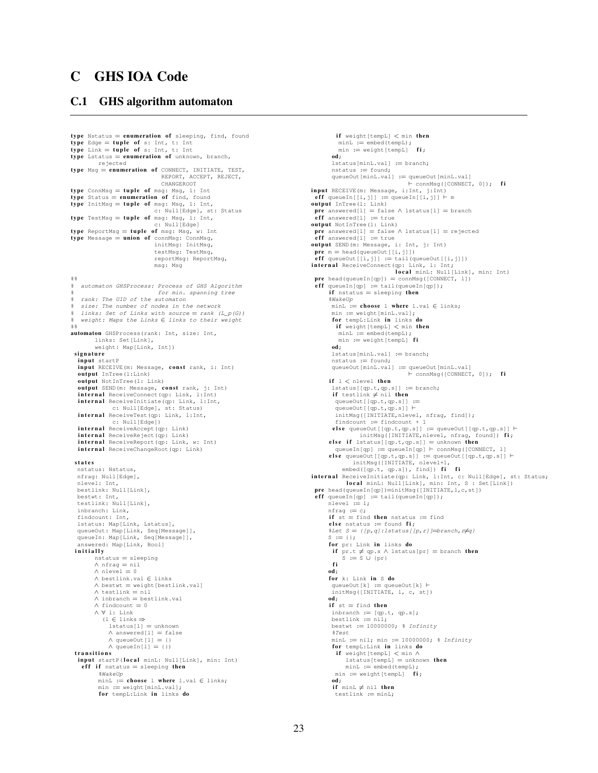# C GHS IOA Code

### C.1 GHS algorithm automaton

```
type Nstatus = enumeration of sleeping, find, found
type Edge = tuple of s: Int, t: Int<br>type Link = tuple of s: Int, t: Int
type Lstatus = enumeration of unknown, branch,
rejected<br>
type Msg = enumeration of CONNECT, INITIATE, TEST,
                                   REPORT, ACCEPT, REJECT,
CHANGEROOT
type ConnMsg = tuple of msg: Msg, 1: Int
type Status = enumeration of find, found<br>type InitMsg = tuple of msg: Msg, l: Int,
                                c: Null[Edge], st: Status
type TestMsg = tuple of msg: Msg, 1: Int,<br>c: Null[Edge]
type ReportMsg = tuple of msg: Msg, w: Int
type Message = union of connMsg: ConnMsg,<br>initMsg: InitMsg,
                                testMsg: TestMsg,
                                reportMsg: ReportMsg,
                                msg: Msg
rac{a}{\delta}automaton GHSProcess: Process of GHS Algorithm
                                for min. spanning tree
   rank: The UID of the automaton
% size: The number of nodes in the network
% links: Set of Links with source = rank (L_p(G))
% weight: Maps the Links ∈ links to their weight
9.9automaton GHSProcess(rank: Int, size: Int,
         links: Set[Link],
         weight: Map[Link, Int])
 signature
  input startP
  input RECEIVE(m: Message, const rank, i: Int)
  output InTree(l:Link)
   output NotInTree(l: Link)
   output SEND(m: Message, const rank, j: Int)<br>internal ReceiveConnect(qp: Link, l:Int)
   internal ReceiveInitiate(qp: Link, l:Int,
               c: Null[Edge], st: Status)
   internal ReceiveTest(qp: Link, l:Int,
   c: Null[Edge])<br>
internal ReceiveAccept(qp: Link)
   internal ReceiveReject (qp: Link)
   internal ReceiveReport(qp: Link, w: Int)<br>internal ReceiveChangeRoot(qp: Link)
 s t a t e s
  nstatus: Nstatus,
  nfrag: Null[Edge],
   nlevel: Int,
bestlink: Null[Link],
  bestwt: Int,
   testlink: Null[Link],
inbranch: Link,
   findcount: Int,
lstatus: Map[Link, Lstatus],
  queueOut: Map[Link, Seq[Message]],
   queueIn: Map[Link, Seq[Message]],
answered: Map[Link, Bool]
 initially
         nstatus = sleeping
∧ nfrag = nil
         \land nlevel = 0
         ∧ bestlink.val ∈ links
         ∧ bestwt = weight[bestlink.val]
∧ testlink = nil
         ∧ inbranch = bestlink.val
         \land findcount = 0
         ∧ ∀ l: Link
            (1 \in links \Rightarrowlistatus[1] = unknown∧ answered[l] = false
∧ queueOut[l] = {}
              \land queueIn[l] = {})
 transitions
   input startP(local minL: Null[Link], min: Int)
    eff if nstatus = sleeping then
           %WakeUp<br>minL := choose 1 where 1.val ∈ links;
           min := weight[minL.val];<br>for tempL:Link in links do
```

```
if weight [tempL] < min then
            minL := embed(tempL);<br>min := weight[tempL] fi;
        od;
        lstatus[minL.val] := branch;
        nstatus := found;
        \texttt{queueOut}[\texttt{minL.val}] \ := \texttt{queueOut}[\texttt{minL.val}]\vdash connMsg([CONNECT, 0]); fi
input RECEIVE(m: Message, i:Int, j:Int)
eff queueIn[[i,j]] := queueIn[[i,j]] \vdash m<br>output InTree(l: Link)
 pre answered[l] = false \land lstatus[l] = branch
eff answered[1] := true<br>output NotInTree(1: Link)
pre answered[l] = false \wedge lstatus[l] = rejected<br>
eff answered[l] := true<br>
output SEND(m: Message, i: Int, j: Int)
 pre m = head(queueOut[[i,j]])
eff queueOut[[i,j]] := tail(queueOut[[i,j]])<br>internal ReceiveConnect(qp: Link, l: Int;<br>local minL: Null[Link], min: Int)
 \text{pre head}(\text{queueIn}[\text{qp}]) = \text{conn} \text{MSE}(\text{[CONNECT, 1]})eff queueIn[qp] := tail(queueIn[qp]);<br>
if nstatus = sleeping then
        %WakeUp
        min := choose 1 where 1.val \in links;
        min := weight[minL.val];for tempL: Link in links do
          if weight [tempL] < min then
           min := embed(tempL):
            min := weight[tempL] fi
        od;
        lstatus[minL.val] := branch;
        nstatus := found;
        \texttt{queueOut} \left[ \texttt{minL.val} \right] \; := \; \texttt{queueOut} \left[ \texttt{minL.val} \right]\vdash connMsg([CONNECT, 0]); fi
       if 1 < nlevel then
         lstatus[[qp.t,qp.s]] := branch;<br>if testlink \neq nil then
          queueOut[(qp.t,qp.s]] :=queueOut[[qp.t,qp.s]] |-<br>initMsg([INITIATE,nlevel, nfrag, find]);
          findcount := findcount + 1<br>
else queueOut[[qp.t,qp.s]] := queueOut[[qp.t,qp.s]] \vdashintMsg([INITIATE, nlevel, nfrag, found]) fi;
        else if lstatus[[qp.t,qp.s]] = unknown then<br>queueIn[qp] := queueIn[qp] | connMsg([CONNECT, 1]<br>else queueOut[[qp.t,qp.s]] := queueOut[[qp.t,qp.s]] | -
initMsg([INITIATE, nlevel+1,<br>embed([qp.t, qp.s]), find]) fi fi<br>internal ReceiveInitiate(qp: Link, l:Int, c: Null[Edge], st: Status;
  local minL: Null[Link], min: Int, S : Set[Link])<br>
pre head(queueIn[qp])=initMsg([INITIATE,1,c,st])
 eff queueIn[qp] := tail(queueIn[qp]);
       nlevel := 1;nfrag := c;
        if st = find then nstatus := find<br>else nstatus := found fi;
        %Let S = \{ [p,q]: \text{lstatus}([p,r)]=\text{branch}, r \neq q \}S := \{\};<br>for pr: Link in links do
          if pr.t ≠ qp.s ∧ lstatus[pr] = branch then S := S \cup \{pr\}f i
        od;
       for k: Link in S do
        queueOut[k] := queueOut[k] +
        initMsg([INITIATE, l, c, st])
       od;
        if st = find then
         inbranch := [qp.t, qp.s];
bestlink := nil;
        bestwt := 100000000; % Infinity
        %T = 5min := nil; min := 10000000; % Infinity
         for tempL:Link in links do<br>if weight[tempL] < min \wedge<br>lstatus[tempL] = unknown then
              min := embed(tempL);
          min := weight[tempL] fi;
        od;
         if minL \neq nil then
          testlink := minL;
```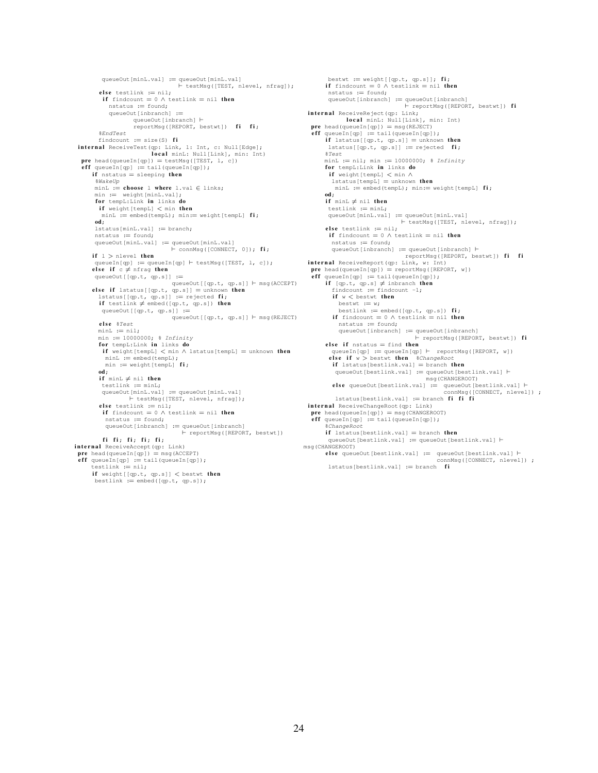```
\texttt{queueOut} \texttt{[minL.val]} \ := \ \texttt{queueOut} \texttt{[minL.val]}` testMsg([TEST, nlevel, nfrag]);
          else testlink := nil;
            if findcount = 0 \land testlink = nil then nstatus := found;
              queueOut[inbranch] :=
                       queueOut[inbranch] \vdashreportMsg([REPORT, bestwt]) fi fi;
         %EndTest
         findcount := size(S) fiinternal ReceiveTest(qp: Link, l: Int, c: Null[Edge];
                              local minL: Null[Link], min: Int)
   \begin{align} \mathsf{pre} \ \mathsf{head}(\text{queueIn}[\text{qp}]) &= \mathsf{testMsg}(\{\text{TEST, 1, c}\}) \ \mathsf{eff} \ \mathsf{queueIn}[\text{qp}] &:= \mathsf{tail}(\text{queueIn}[\text{qp}]) \, ; \end{align}if nstatus = sleeping then
         %WakeUp<br>minL := choose 1 where 1.val ∈ links;
         min := weight[minL.val];<br>for tempL:Link in links do
          if weight[tempL] \langle min then
          \begin{aligned} \texttt{minL} \ := \ \texttt{embed} \, (\texttt{tempL}) \, ; \ \ \texttt{min} := \ \texttt{weight} \, [\texttt{tempL}] \quad \textbf{fi} \, ; \end{aligned}od;
        lstatus[minL.val] := branch;
        nstatus := found:
        queueOut[minL.val] := queueOut[minL.val]
                                       \vdash connMsg([CONNECT, 0]); fi;
       if 1 > nlevel then
        queueIn[qp] := queueIn[qp] \vdash testMsg([TEST, l, c]);else if c \neq n frag then<br>queueOut[[qp.t, qp.s]] :=
                                      queueOut[[qp.t, qp.s]] \vdash msg(ACCEPT)
        else if lstatus[[qp.t, qp.s]] = unknown then<br>lstatus[[qp.t, qp.s]] := rejected fi;<br>if testlink \neq embed([qp.t, qp.s]) then
           queueOut[qp.t, qp.s]] :=queueOut[[qp.t, qp.s]] \vdash msg(REJECT)
         else *Testmin := nil;
         min := 10000000; % Infinity
          for tempL:Link in links do<br>if weight[tempL] < min \land lstatus[tempL] = unknown then
            min := embed(tempL);
            min := weight[tempL] fi;
         od;
          if minL \neq nil then
           testlink := minL;
           queueOut[minL.val] := queueOut[minL.val]
                      \vdash testMsg([TEST, nlevel, nfrag]);
          else testlink := nil;
           if findcount = 0 \wedge \text{testlink} = \text{nil} then
            nstatus := found;
            queueOut[inbranch] := queueOut[inbranch]
                                              ` reportMsg([REPORT, bestwt])
           fi fi; fi; fi; fi; fiinternal ReceiveAccept(qp: Link)
 pre head(queueIn[qp]) = msg(ACCEPT)
  eff queueIn[qp] := tail(queueIn[qp]);<br>testlink := nil;
```
**if** weight[ $[qp.t, qp.s]$ ]  $\lt$  bestwt **then** bestlink := embed( $[qp.t, qp.s]$ );

bestwt := weight[[qp.t, qp.s]]; fi;<br>if findcount = 0  $\land$  testlink = nil then  $n$ status  $:=$  found;  $queueOut[inhranch] := queueOut[inhranch]$  $\vdash$  reportMsg([REPORT, bestwt]) fi internal ReceiveReject(qp: Link; **local** minL: Null[Link], min: Int)<br> **pre** head(queueIn[qp]) = msg(REJECT) **eff** queueIn[qp] := tail(queueIn[qp]);<br> **if** lstatus[[qp.t, qp.s]] = unknown **then**<br>
lstatus[[qp.t, qp.s]] := rejected **fi;** %Test  $min$  := nil; min := 10000000; % Infinity for tempL:Link in links do  $\textbf{if weight}[\text{tempL}] < \text{min }\land$ <br>lstatus[tempL] = unknown then  $min$  := embed(tempL);  $min := weight[tempL]$  fi; od; if  $minL \neq nil$  then  $testlink := min.$ queueOut[minL.val] := queueOut[minL.val]<br>
+ testMsg([TEST, nlevel, nfrag]); else testlink  $:=$  nil; if findcount =  $0 \wedge \text{testlink} = \text{nil}$  then  $n$ status := found;  $queueOut[inhranch] := queueOut[inhranch] \vdash$ reportMsg([REPORT, bestwt]) fi fi internal ReceiveReport(qp: Link, w: Int) pre head(queueIn[qp]) = reportMsg([REPORT, w])<br>
eff queueIn[qp] := tail(queueIn[qp]);  $if [qp.t, qp.s] \neq inbranch then$ findcount  $:=$  findcount  $-1$ ;<br>if  $w <$  bestwt **then**  $bestwt := w;$ bestlink := embed([qp.t, qp.s]) **fi;**<br>if findcount = 0  $\land$  testlink = nil **then**  $n$ status  $:=$  found; queueOut[inbranch] := queueOut[inbranch]<br>  $\vdash$  reportMsg([REPORT, bestwt]) **fi** else if nstatus  $=$  find then queueIn[qp] := queueIn[qp] | reportMsg([REPORT, w])<br>else if w > bestwt then \$ChangeRoot<br>if lstatus[bestlink.val] = branch then queueOut[bestlink.val]  $:=$  queueOut[bestlink.val]  $\vdash$ msg(CHANGEROOT) else queueOut[bestlink.val] := queueOut[bestlink.val]  $\vdash$ connMsg([CONNECT, nlevel]) ;  $listatus[bestlink.val] := branch$  fi fi fi internal ReceiveChangeRoot(qp: Link)<br>
pre head(queueIn[qp]) = msg(CHANGEROOT)  $eff$  queueIn[qp] := tail(queueIn[qp]); %ChangeRoot  $if$  lstatus[bestlink.val] = branch then queueOut[bestlink.val] := queueOut[bestlink.val]  $\vdash$ <br>msg(CHANGEROOT) else queueOut[bestlink.val] := queueOut[bestlink.val]  $\vdash$ connMsg([CONNECT, nlevel]) ;  $listatus[bestlink.val] := branch$  fi